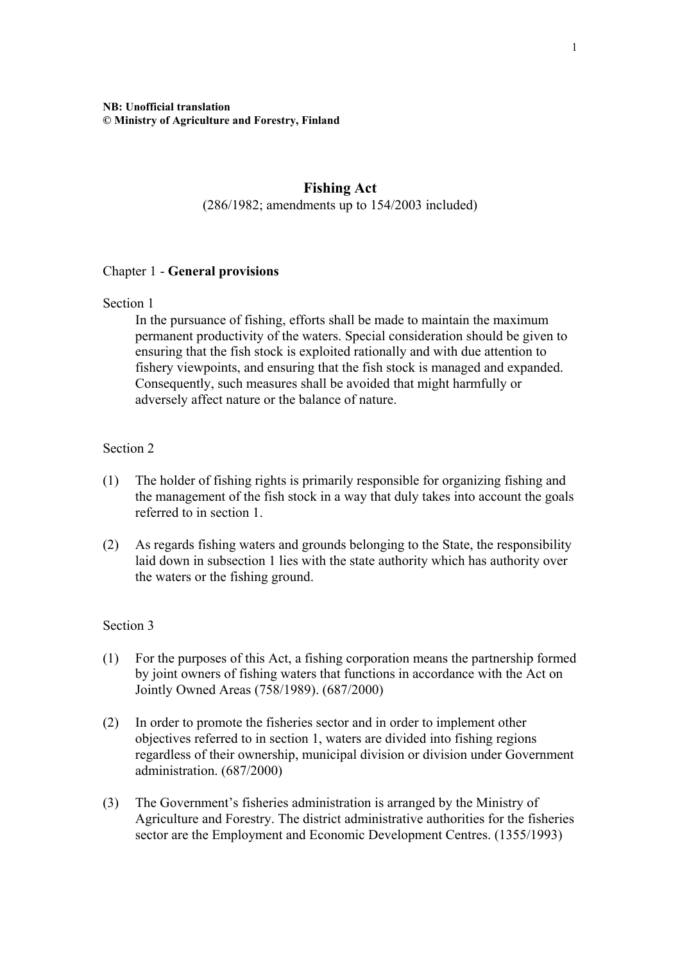# **Fishing Act**

(286/1982; amendments up to 154/2003 included)

### Chapter 1 - **General provisions**

#### Section 1

In the pursuance of fishing, efforts shall be made to maintain the maximum permanent productivity of the waters. Special consideration should be given to ensuring that the fish stock is exploited rationally and with due attention to fishery viewpoints, and ensuring that the fish stock is managed and expanded. Consequently, such measures shall be avoided that might harmfully or adversely affect nature or the balance of nature.

#### Section 2

- (1) The holder of fishing rights is primarily responsible for organizing fishing and the management of the fish stock in a way that duly takes into account the goals referred to in section 1.
- (2) As regards fishing waters and grounds belonging to the State, the responsibility laid down in subsection 1 lies with the state authority which has authority over the waters or the fishing ground.

- (1) For the purposes of this Act, a fishing corporation means the partnership formed by joint owners of fishing waters that functions in accordance with the Act on Jointly Owned Areas (758/1989). (687/2000)
- (2) In order to promote the fisheries sector and in order to implement other objectives referred to in section 1, waters are divided into fishing regions regardless of their ownership, municipal division or division under Government administration. (687/2000)
- (3) The Government's fisheries administration is arranged by the Ministry of Agriculture and Forestry. The district administrative authorities for the fisheries sector are the Employment and Economic Development Centres. (1355/1993)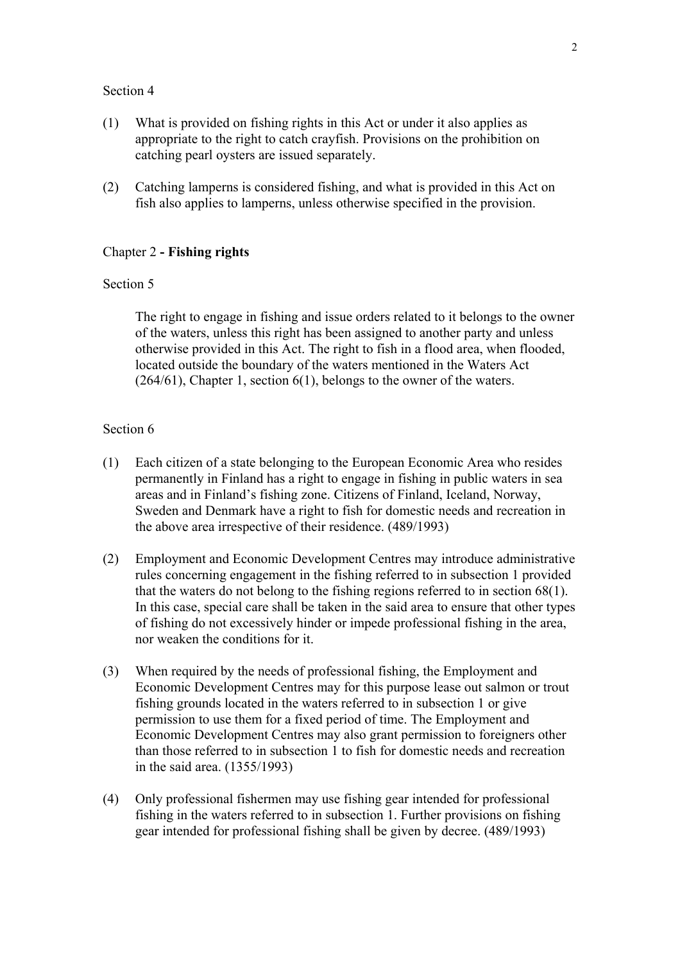- (1) What is provided on fishing rights in this Act or under it also applies as appropriate to the right to catch crayfish. Provisions on the prohibition on catching pearl oysters are issued separately.
- (2) Catching lamperns is considered fishing, and what is provided in this Act on fish also applies to lamperns, unless otherwise specified in the provision.

#### Chapter 2 **- Fishing rights**

### Section 5

The right to engage in fishing and issue orders related to it belongs to the owner of the waters, unless this right has been assigned to another party and unless otherwise provided in this Act. The right to fish in a flood area, when flooded, located outside the boundary of the waters mentioned in the Waters Act (264/61), Chapter 1, section 6(1), belongs to the owner of the waters.

- (1) Each citizen of a state belonging to the European Economic Area who resides permanently in Finland has a right to engage in fishing in public waters in sea areas and in Finland's fishing zone. Citizens of Finland, Iceland, Norway, Sweden and Denmark have a right to fish for domestic needs and recreation in the above area irrespective of their residence. (489/1993)
- (2) Employment and Economic Development Centres may introduce administrative rules concerning engagement in the fishing referred to in subsection 1 provided that the waters do not belong to the fishing regions referred to in section 68(1). In this case, special care shall be taken in the said area to ensure that other types of fishing do not excessively hinder or impede professional fishing in the area, nor weaken the conditions for it.
- (3) When required by the needs of professional fishing, the Employment and Economic Development Centres may for this purpose lease out salmon or trout fishing grounds located in the waters referred to in subsection 1 or give permission to use them for a fixed period of time. The Employment and Economic Development Centres may also grant permission to foreigners other than those referred to in subsection 1 to fish for domestic needs and recreation in the said area. (1355/1993)
- (4) Only professional fishermen may use fishing gear intended for professional fishing in the waters referred to in subsection 1. Further provisions on fishing gear intended for professional fishing shall be given by decree. (489/1993)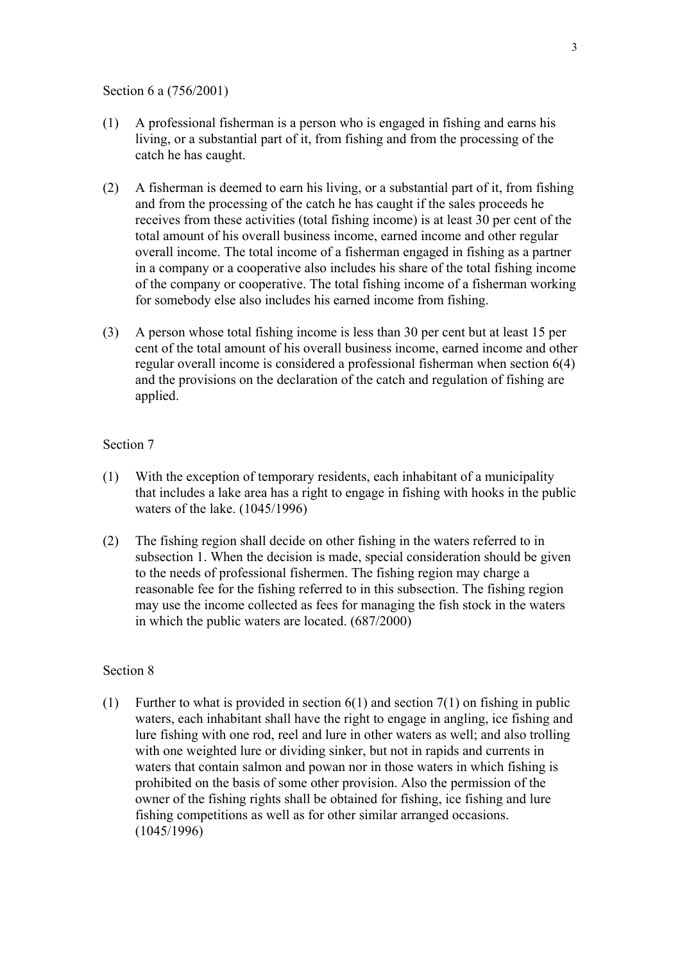Section 6 a (756/2001)

- (1) A professional fisherman is a person who is engaged in fishing and earns his living, or a substantial part of it, from fishing and from the processing of the catch he has caught.
- (2) A fisherman is deemed to earn his living, or a substantial part of it, from fishing and from the processing of the catch he has caught if the sales proceeds he receives from these activities (total fishing income) is at least 30 per cent of the total amount of his overall business income, earned income and other regular overall income. The total income of a fisherman engaged in fishing as a partner in a company or a cooperative also includes his share of the total fishing income of the company or cooperative. The total fishing income of a fisherman working for somebody else also includes his earned income from fishing.
- (3) A person whose total fishing income is less than 30 per cent but at least 15 per cent of the total amount of his overall business income, earned income and other regular overall income is considered a professional fisherman when section 6(4) and the provisions on the declaration of the catch and regulation of fishing are applied.

### Section 7

- (1) With the exception of temporary residents, each inhabitant of a municipality that includes a lake area has a right to engage in fishing with hooks in the public waters of the lake. (1045/1996)
- (2) The fishing region shall decide on other fishing in the waters referred to in subsection 1. When the decision is made, special consideration should be given to the needs of professional fishermen. The fishing region may charge a reasonable fee for the fishing referred to in this subsection. The fishing region may use the income collected as fees for managing the fish stock in the waters in which the public waters are located. (687/2000)

### Section 8

(1) Further to what is provided in section  $6(1)$  and section  $7(1)$  on fishing in public waters, each inhabitant shall have the right to engage in angling, ice fishing and lure fishing with one rod, reel and lure in other waters as well; and also trolling with one weighted lure or dividing sinker, but not in rapids and currents in waters that contain salmon and powan nor in those waters in which fishing is prohibited on the basis of some other provision. Also the permission of the owner of the fishing rights shall be obtained for fishing, ice fishing and lure fishing competitions as well as for other similar arranged occasions. (1045/1996)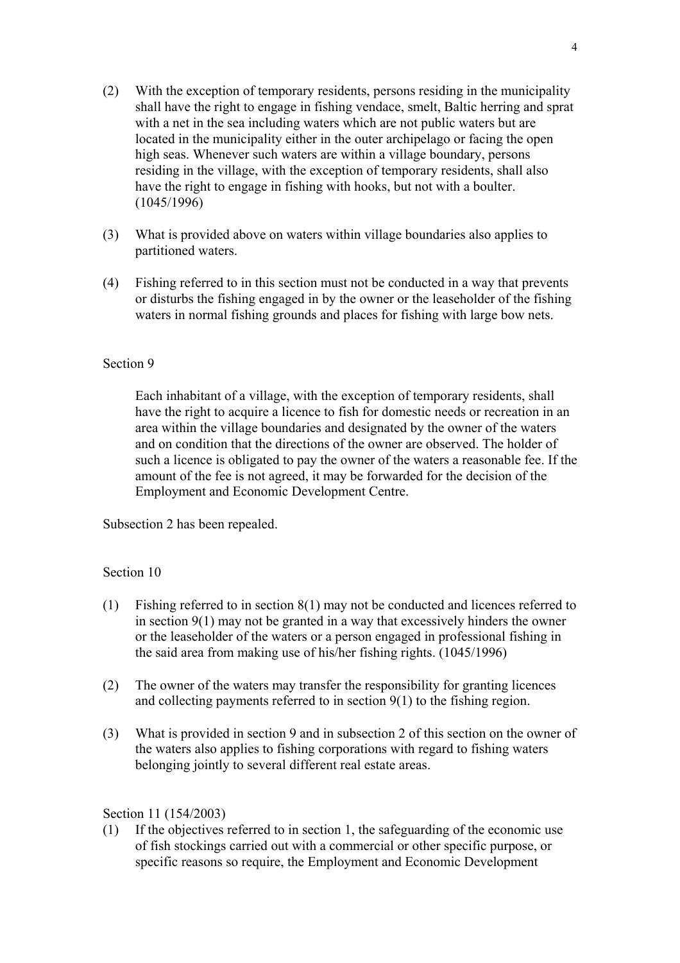- (2) With the exception of temporary residents, persons residing in the municipality shall have the right to engage in fishing vendace, smelt, Baltic herring and sprat with a net in the sea including waters which are not public waters but are located in the municipality either in the outer archipelago or facing the open high seas. Whenever such waters are within a village boundary, persons residing in the village, with the exception of temporary residents, shall also have the right to engage in fishing with hooks, but not with a boulter. (1045/1996)
- (3) What is provided above on waters within village boundaries also applies to partitioned waters.
- (4) Fishing referred to in this section must not be conducted in a way that prevents or disturbs the fishing engaged in by the owner or the leaseholder of the fishing waters in normal fishing grounds and places for fishing with large bow nets.

Each inhabitant of a village, with the exception of temporary residents, shall have the right to acquire a licence to fish for domestic needs or recreation in an area within the village boundaries and designated by the owner of the waters and on condition that the directions of the owner are observed. The holder of such a licence is obligated to pay the owner of the waters a reasonable fee. If the amount of the fee is not agreed, it may be forwarded for the decision of the Employment and Economic Development Centre.

Subsection 2 has been repealed.

### Section 10

- (1) Fishing referred to in section 8(1) may not be conducted and licences referred to in section 9(1) may not be granted in a way that excessively hinders the owner or the leaseholder of the waters or a person engaged in professional fishing in the said area from making use of his/her fishing rights. (1045/1996)
- (2) The owner of the waters may transfer the responsibility for granting licences and collecting payments referred to in section 9(1) to the fishing region.
- (3) What is provided in section 9 and in subsection 2 of this section on the owner of the waters also applies to fishing corporations with regard to fishing waters belonging jointly to several different real estate areas.

### Section 11 (154/2003)

(1) If the objectives referred to in section 1, the safeguarding of the economic use of fish stockings carried out with a commercial or other specific purpose, or specific reasons so require, the Employment and Economic Development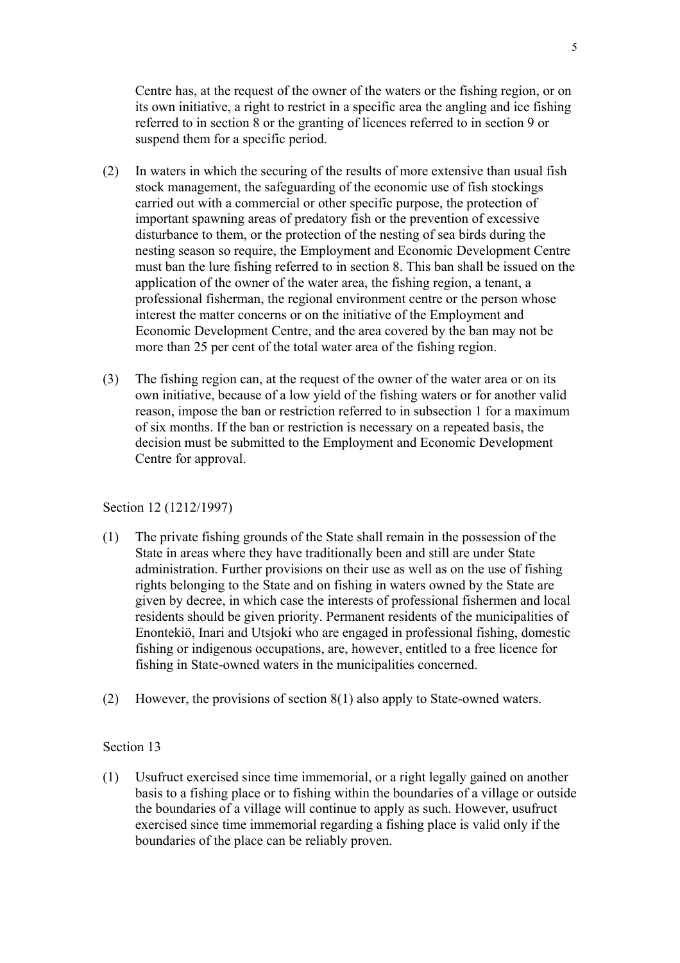Centre has, at the request of the owner of the waters or the fishing region, or on its own initiative, a right to restrict in a specific area the angling and ice fishing referred to in section 8 or the granting of licences referred to in section 9 or suspend them for a specific period.

- (2) In waters in which the securing of the results of more extensive than usual fish stock management, the safeguarding of the economic use of fish stockings carried out with a commercial or other specific purpose, the protection of important spawning areas of predatory fish or the prevention of excessive disturbance to them, or the protection of the nesting of sea birds during the nesting season so require, the Employment and Economic Development Centre must ban the lure fishing referred to in section 8. This ban shall be issued on the application of the owner of the water area, the fishing region, a tenant, a professional fisherman, the regional environment centre or the person whose interest the matter concerns or on the initiative of the Employment and Economic Development Centre, and the area covered by the ban may not be more than 25 per cent of the total water area of the fishing region.
- (3) The fishing region can, at the request of the owner of the water area or on its own initiative, because of a low yield of the fishing waters or for another valid reason, impose the ban or restriction referred to in subsection 1 for a maximum of six months. If the ban or restriction is necessary on a repeated basis, the decision must be submitted to the Employment and Economic Development Centre for approval.

Section 12 (1212/1997)

- (1) The private fishing grounds of the State shall remain in the possession of the State in areas where they have traditionally been and still are under State administration. Further provisions on their use as well as on the use of fishing rights belonging to the State and on fishing in waters owned by the State are given by decree, in which case the interests of professional fishermen and local residents should be given priority. Permanent residents of the municipalities of Enontekiö, Inari and Utsjoki who are engaged in professional fishing, domestic fishing or indigenous occupations, are, however, entitled to a free licence for fishing in State-owned waters in the municipalities concerned.
- (2) However, the provisions of section 8(1) also apply to State-owned waters.

## Section 13

(1) Usufruct exercised since time immemorial, or a right legally gained on another basis to a fishing place or to fishing within the boundaries of a village or outside the boundaries of a village will continue to apply as such. However, usufruct exercised since time immemorial regarding a fishing place is valid only if the boundaries of the place can be reliably proven.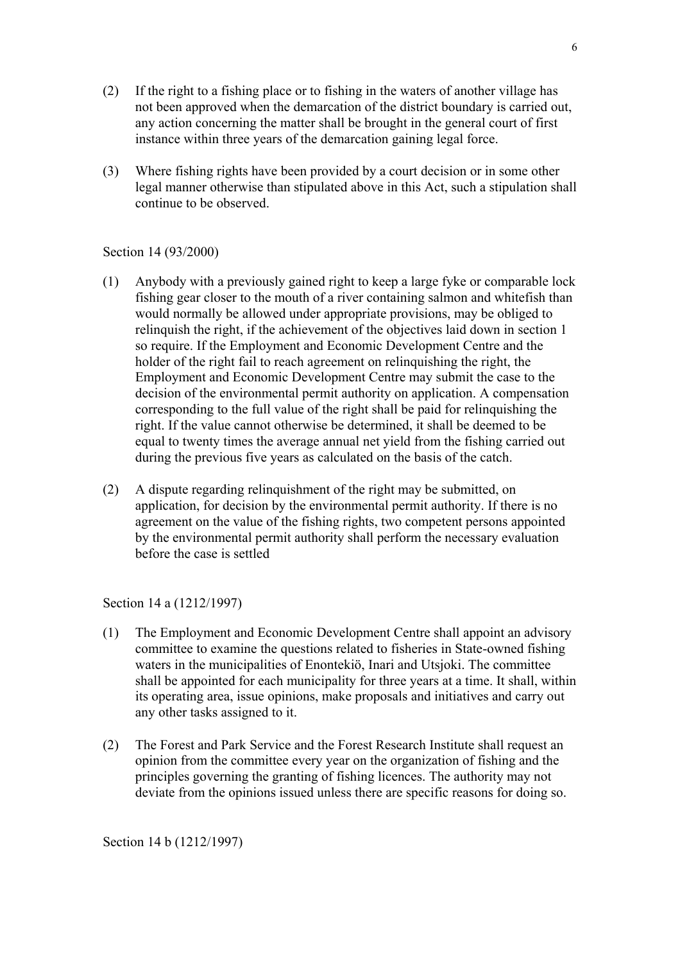- (2) If the right to a fishing place or to fishing in the waters of another village has not been approved when the demarcation of the district boundary is carried out, any action concerning the matter shall be brought in the general court of first instance within three years of the demarcation gaining legal force.
- (3) Where fishing rights have been provided by a court decision or in some other legal manner otherwise than stipulated above in this Act, such a stipulation shall continue to be observed.

## Section 14 (93/2000)

- (1) Anybody with a previously gained right to keep a large fyke or comparable lock fishing gear closer to the mouth of a river containing salmon and whitefish than would normally be allowed under appropriate provisions, may be obliged to relinquish the right, if the achievement of the objectives laid down in section 1 so require. If the Employment and Economic Development Centre and the holder of the right fail to reach agreement on relinquishing the right, the Employment and Economic Development Centre may submit the case to the decision of the environmental permit authority on application. A compensation corresponding to the full value of the right shall be paid for relinquishing the right. If the value cannot otherwise be determined, it shall be deemed to be equal to twenty times the average annual net yield from the fishing carried out during the previous five years as calculated on the basis of the catch.
- (2) A dispute regarding relinquishment of the right may be submitted, on application, for decision by the environmental permit authority. If there is no agreement on the value of the fishing rights, two competent persons appointed by the environmental permit authority shall perform the necessary evaluation before the case is settled

Section 14 a (1212/1997)

- (1) The Employment and Economic Development Centre shall appoint an advisory committee to examine the questions related to fisheries in State-owned fishing waters in the municipalities of Enontekiö, Inari and Utsjoki. The committee shall be appointed for each municipality for three years at a time. It shall, within its operating area, issue opinions, make proposals and initiatives and carry out any other tasks assigned to it.
- (2) The Forest and Park Service and the Forest Research Institute shall request an opinion from the committee every year on the organization of fishing and the principles governing the granting of fishing licences. The authority may not deviate from the opinions issued unless there are specific reasons for doing so.

Section 14 b (1212/1997)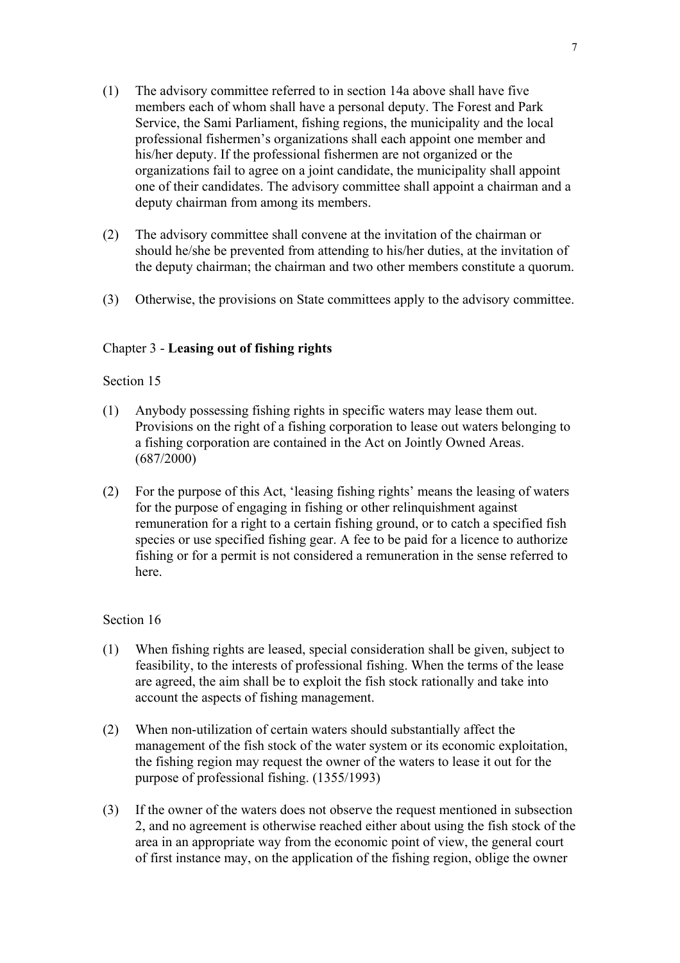- (1) The advisory committee referred to in section 14a above shall have five members each of whom shall have a personal deputy. The Forest and Park Service, the Sami Parliament, fishing regions, the municipality and the local professional fishermen's organizations shall each appoint one member and his/her deputy. If the professional fishermen are not organized or the organizations fail to agree on a joint candidate, the municipality shall appoint one of their candidates. The advisory committee shall appoint a chairman and a deputy chairman from among its members.
- (2) The advisory committee shall convene at the invitation of the chairman or should he/she be prevented from attending to his/her duties, at the invitation of the deputy chairman; the chairman and two other members constitute a quorum.
- (3) Otherwise, the provisions on State committees apply to the advisory committee.

## Chapter 3 - **Leasing out of fishing rights**

### Section 15

- (1) Anybody possessing fishing rights in specific waters may lease them out. Provisions on the right of a fishing corporation to lease out waters belonging to a fishing corporation are contained in the Act on Jointly Owned Areas. (687/2000)
- (2) For the purpose of this Act, 'leasing fishing rights' means the leasing of waters for the purpose of engaging in fishing or other relinquishment against remuneration for a right to a certain fishing ground, or to catch a specified fish species or use specified fishing gear. A fee to be paid for a licence to authorize fishing or for a permit is not considered a remuneration in the sense referred to here.

- (1) When fishing rights are leased, special consideration shall be given, subject to feasibility, to the interests of professional fishing. When the terms of the lease are agreed, the aim shall be to exploit the fish stock rationally and take into account the aspects of fishing management.
- (2) When non-utilization of certain waters should substantially affect the management of the fish stock of the water system or its economic exploitation, the fishing region may request the owner of the waters to lease it out for the purpose of professional fishing. (1355/1993)
- (3) If the owner of the waters does not observe the request mentioned in subsection 2, and no agreement is otherwise reached either about using the fish stock of the area in an appropriate way from the economic point of view, the general court of first instance may, on the application of the fishing region, oblige the owner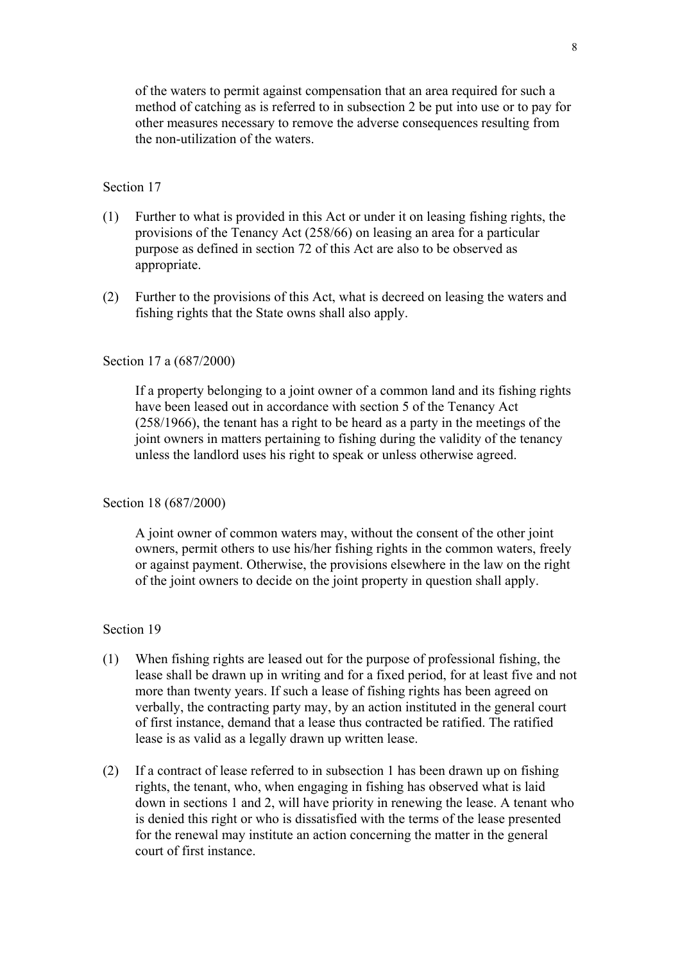of the waters to permit against compensation that an area required for such a method of catching as is referred to in subsection 2 be put into use or to pay for other measures necessary to remove the adverse consequences resulting from the non-utilization of the waters.

### Section 17

- (1) Further to what is provided in this Act or under it on leasing fishing rights, the provisions of the Tenancy Act (258/66) on leasing an area for a particular purpose as defined in section 72 of this Act are also to be observed as appropriate.
- (2) Further to the provisions of this Act, what is decreed on leasing the waters and fishing rights that the State owns shall also apply.

#### Section 17 a (687/2000)

If a property belonging to a joint owner of a common land and its fishing rights have been leased out in accordance with section 5 of the Tenancy Act (258/1966), the tenant has a right to be heard as a party in the meetings of the joint owners in matters pertaining to fishing during the validity of the tenancy unless the landlord uses his right to speak or unless otherwise agreed.

#### Section 18 (687/2000)

A joint owner of common waters may, without the consent of the other joint owners, permit others to use his/her fishing rights in the common waters, freely or against payment. Otherwise, the provisions elsewhere in the law on the right of the joint owners to decide on the joint property in question shall apply.

- (1) When fishing rights are leased out for the purpose of professional fishing, the lease shall be drawn up in writing and for a fixed period, for at least five and not more than twenty years. If such a lease of fishing rights has been agreed on verbally, the contracting party may, by an action instituted in the general court of first instance, demand that a lease thus contracted be ratified. The ratified lease is as valid as a legally drawn up written lease.
- (2) If a contract of lease referred to in subsection 1 has been drawn up on fishing rights, the tenant, who, when engaging in fishing has observed what is laid down in sections 1 and 2, will have priority in renewing the lease. A tenant who is denied this right or who is dissatisfied with the terms of the lease presented for the renewal may institute an action concerning the matter in the general court of first instance.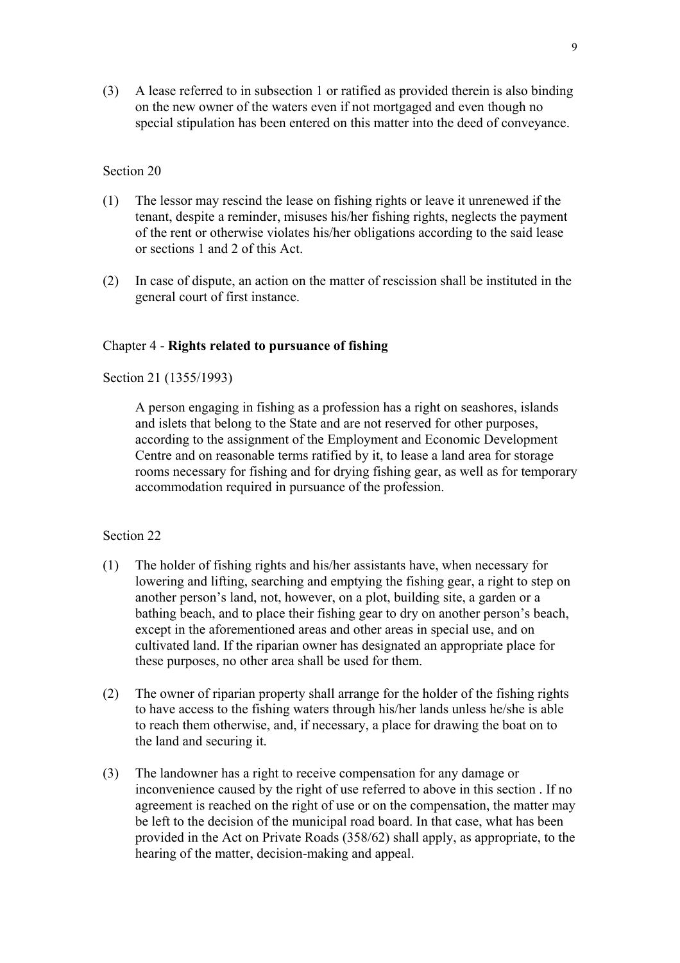(3) A lease referred to in subsection 1 or ratified as provided therein is also binding on the new owner of the waters even if not mortgaged and even though no special stipulation has been entered on this matter into the deed of conveyance.

#### Section 20

- (1) The lessor may rescind the lease on fishing rights or leave it unrenewed if the tenant, despite a reminder, misuses his/her fishing rights, neglects the payment of the rent or otherwise violates his/her obligations according to the said lease or sections 1 and 2 of this Act.
- (2) In case of dispute, an action on the matter of rescission shall be instituted in the general court of first instance.

### Chapter 4 - **Rights related to pursuance of fishing**

Section 21 (1355/1993)

A person engaging in fishing as a profession has a right on seashores, islands and islets that belong to the State and are not reserved for other purposes, according to the assignment of the Employment and Economic Development Centre and on reasonable terms ratified by it, to lease a land area for storage rooms necessary for fishing and for drying fishing gear, as well as for temporary accommodation required in pursuance of the profession.

- (1) The holder of fishing rights and his/her assistants have, when necessary for lowering and lifting, searching and emptying the fishing gear, a right to step on another person's land, not, however, on a plot, building site, a garden or a bathing beach, and to place their fishing gear to dry on another person's beach, except in the aforementioned areas and other areas in special use, and on cultivated land. If the riparian owner has designated an appropriate place for these purposes, no other area shall be used for them.
- (2) The owner of riparian property shall arrange for the holder of the fishing rights to have access to the fishing waters through his/her lands unless he/she is able to reach them otherwise, and, if necessary, a place for drawing the boat on to the land and securing it.
- (3) The landowner has a right to receive compensation for any damage or inconvenience caused by the right of use referred to above in this section . If no agreement is reached on the right of use or on the compensation, the matter may be left to the decision of the municipal road board. In that case, what has been provided in the Act on Private Roads (358/62) shall apply, as appropriate, to the hearing of the matter, decision-making and appeal.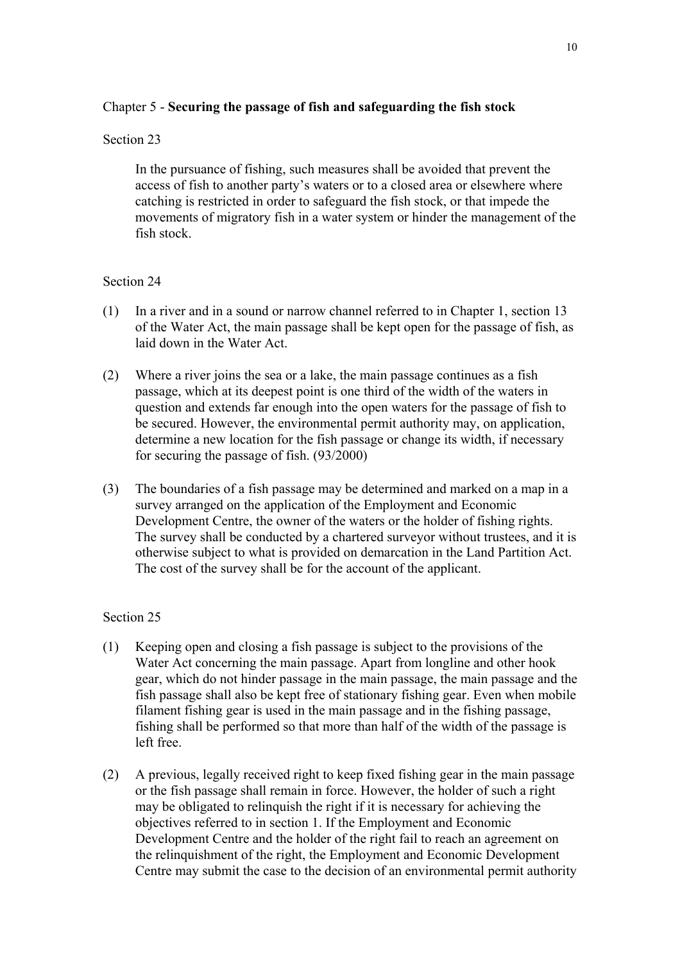## Chapter 5 - **Securing the passage of fish and safeguarding the fish stock**

## Section 23

In the pursuance of fishing, such measures shall be avoided that prevent the access of fish to another party's waters or to a closed area or elsewhere where catching is restricted in order to safeguard the fish stock, or that impede the movements of migratory fish in a water system or hinder the management of the fish stock.

## Section 24

- (1) In a river and in a sound or narrow channel referred to in Chapter 1, section 13 of the Water Act, the main passage shall be kept open for the passage of fish, as laid down in the Water Act.
- (2) Where a river joins the sea or a lake, the main passage continues as a fish passage, which at its deepest point is one third of the width of the waters in question and extends far enough into the open waters for the passage of fish to be secured. However, the environmental permit authority may, on application, determine a new location for the fish passage or change its width, if necessary for securing the passage of fish. (93/2000)
- (3) The boundaries of a fish passage may be determined and marked on a map in a survey arranged on the application of the Employment and Economic Development Centre, the owner of the waters or the holder of fishing rights. The survey shall be conducted by a chartered surveyor without trustees, and it is otherwise subject to what is provided on demarcation in the Land Partition Act. The cost of the survey shall be for the account of the applicant.

- (1) Keeping open and closing a fish passage is subject to the provisions of the Water Act concerning the main passage. Apart from longline and other hook gear, which do not hinder passage in the main passage, the main passage and the fish passage shall also be kept free of stationary fishing gear. Even when mobile filament fishing gear is used in the main passage and in the fishing passage, fishing shall be performed so that more than half of the width of the passage is left free.
- (2) A previous, legally received right to keep fixed fishing gear in the main passage or the fish passage shall remain in force. However, the holder of such a right may be obligated to relinquish the right if it is necessary for achieving the objectives referred to in section 1. If the Employment and Economic Development Centre and the holder of the right fail to reach an agreement on the relinquishment of the right, the Employment and Economic Development Centre may submit the case to the decision of an environmental permit authority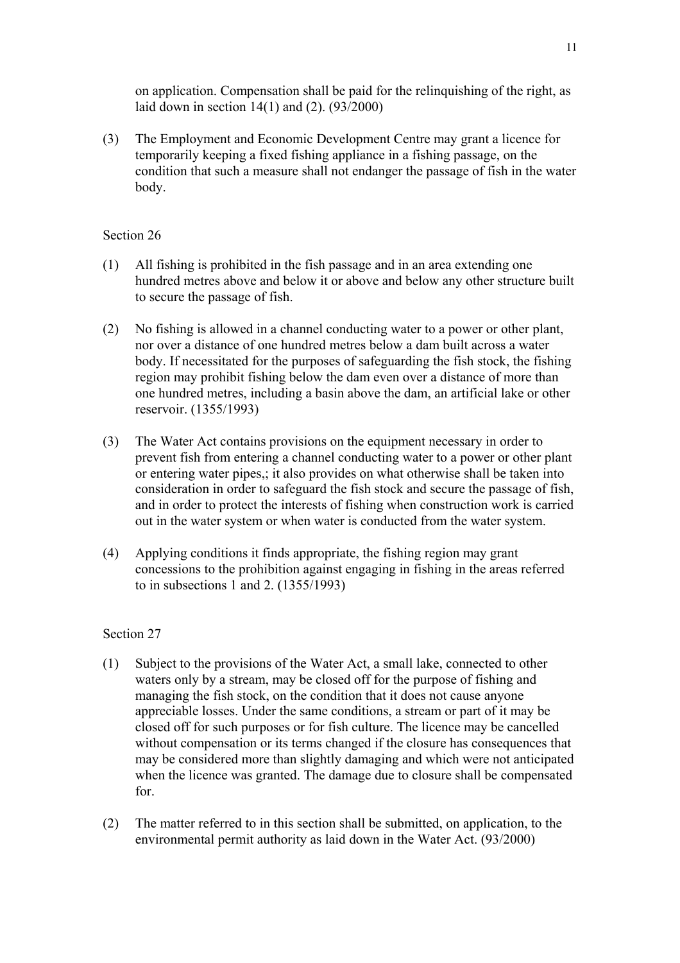on application. Compensation shall be paid for the relinquishing of the right, as laid down in section 14(1) and (2). (93/2000)

(3) The Employment and Economic Development Centre may grant a licence for temporarily keeping a fixed fishing appliance in a fishing passage, on the condition that such a measure shall not endanger the passage of fish in the water body.

## Section 26

- (1) All fishing is prohibited in the fish passage and in an area extending one hundred metres above and below it or above and below any other structure built to secure the passage of fish.
- (2) No fishing is allowed in a channel conducting water to a power or other plant, nor over a distance of one hundred metres below a dam built across a water body. If necessitated for the purposes of safeguarding the fish stock, the fishing region may prohibit fishing below the dam even over a distance of more than one hundred metres, including a basin above the dam, an artificial lake or other reservoir. (1355/1993)
- (3) The Water Act contains provisions on the equipment necessary in order to prevent fish from entering a channel conducting water to a power or other plant or entering water pipes,; it also provides on what otherwise shall be taken into consideration in order to safeguard the fish stock and secure the passage of fish, and in order to protect the interests of fishing when construction work is carried out in the water system or when water is conducted from the water system.
- (4) Applying conditions it finds appropriate, the fishing region may grant concessions to the prohibition against engaging in fishing in the areas referred to in subsections 1 and 2. (1355/1993)

- (1) Subject to the provisions of the Water Act, a small lake, connected to other waters only by a stream, may be closed off for the purpose of fishing and managing the fish stock, on the condition that it does not cause anyone appreciable losses. Under the same conditions, a stream or part of it may be closed off for such purposes or for fish culture. The licence may be cancelled without compensation or its terms changed if the closure has consequences that may be considered more than slightly damaging and which were not anticipated when the licence was granted. The damage due to closure shall be compensated for.
- (2) The matter referred to in this section shall be submitted, on application, to the environmental permit authority as laid down in the Water Act. (93/2000)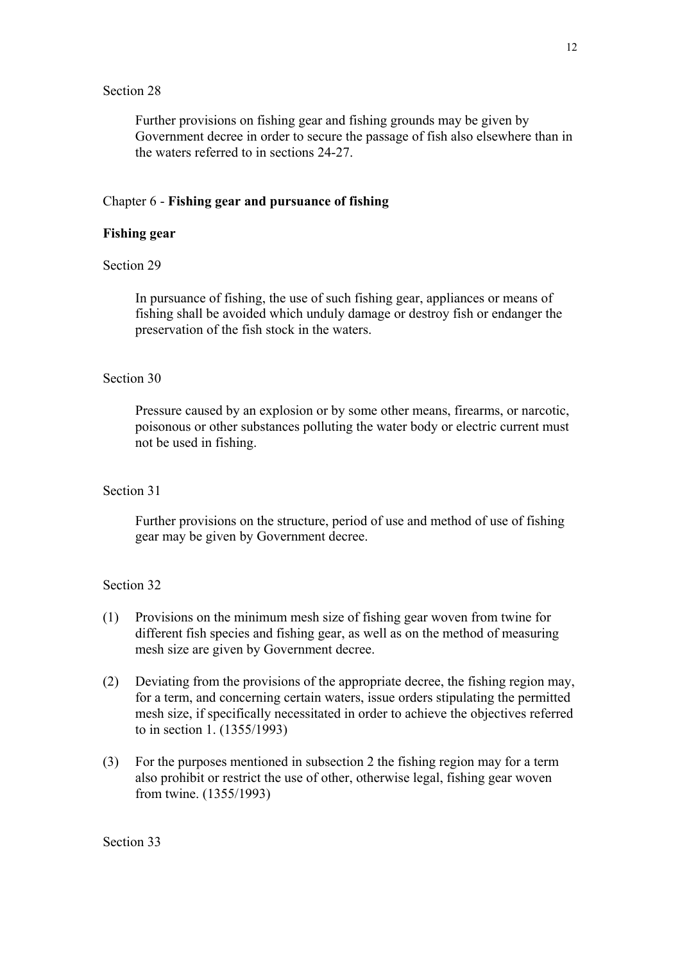Further provisions on fishing gear and fishing grounds may be given by Government decree in order to secure the passage of fish also elsewhere than in the waters referred to in sections 24-27.

### Chapter 6 - **Fishing gear and pursuance of fishing**

### **Fishing gear**

### Section 29

In pursuance of fishing, the use of such fishing gear, appliances or means of fishing shall be avoided which unduly damage or destroy fish or endanger the preservation of the fish stock in the waters.

#### Section 30

Pressure caused by an explosion or by some other means, firearms, or narcotic, poisonous or other substances polluting the water body or electric current must not be used in fishing.

#### Section 31

Further provisions on the structure, period of use and method of use of fishing gear may be given by Government decree.

- (1) Provisions on the minimum mesh size of fishing gear woven from twine for different fish species and fishing gear, as well as on the method of measuring mesh size are given by Government decree.
- (2) Deviating from the provisions of the appropriate decree, the fishing region may, for a term, and concerning certain waters, issue orders stipulating the permitted mesh size, if specifically necessitated in order to achieve the objectives referred to in section 1. (1355/1993)
- (3) For the purposes mentioned in subsection 2 the fishing region may for a term also prohibit or restrict the use of other, otherwise legal, fishing gear woven from twine. (1355/1993)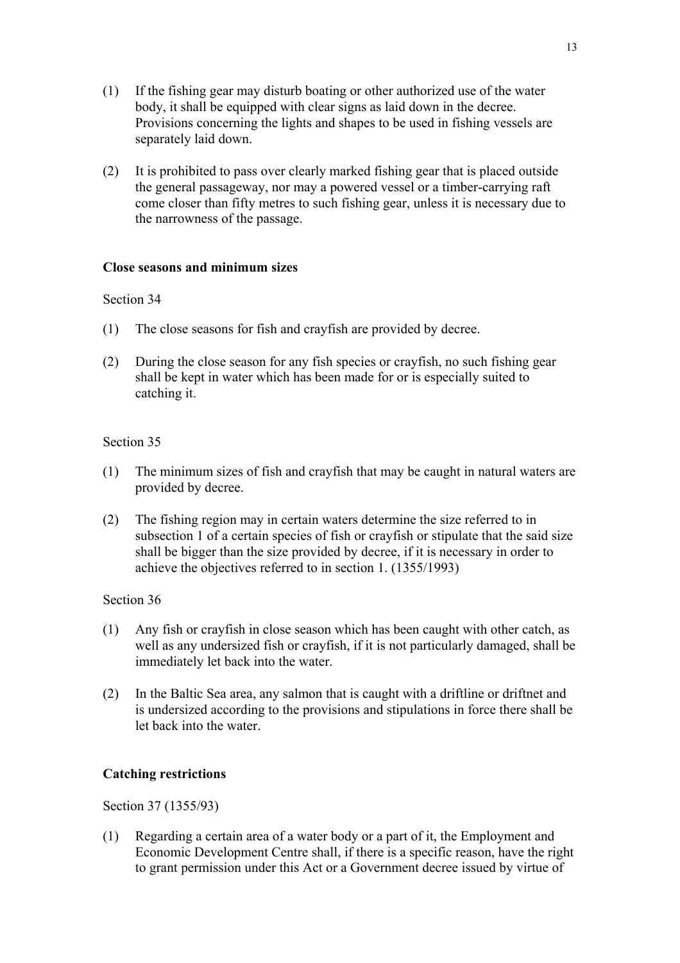- (1) If the fishing gear may disturb boating or other authorized use of the water body, it shall be equipped with clear signs as laid down in the decree. Provisions concerning the lights and shapes to be used in fishing vessels are separately laid down.
- (2) It is prohibited to pass over clearly marked fishing gear that is placed outside the general passageway, nor may a powered vessel or a timber-carrying raft come closer than fifty metres to such fishing gear, unless it is necessary due to the narrowness of the passage.

#### **Close seasons and minimum sizes**

#### Section 34

- (1) The close seasons for fish and crayfish are provided by decree.
- (2) During the close season for any fish species or crayfish, no such fishing gear shall be kept in water which has been made for or is especially suited to catching it.

#### Section 35

- (1) The minimum sizes of fish and crayfish that may be caught in natural waters are provided by decree.
- (2) The fishing region may in certain waters determine the size referred to in subsection 1 of a certain species of fish or crayfish or stipulate that the said size shall be bigger than the size provided by decree, if it is necessary in order to achieve the objectives referred to in section 1. (1355/1993)

#### Section 36

- (1) Any fish or crayfish in close season which has been caught with other catch, as well as any undersized fish or crayfish, if it is not particularly damaged, shall be immediately let back into the water.
- (2) In the Baltic Sea area, any salmon that is caught with a driftline or driftnet and is undersized according to the provisions and stipulations in force there shall be let back into the water.

#### **Catching restrictions**

Section 37 (1355/93)

(1) Regarding a certain area of a water body or a part of it, the Employment and Economic Development Centre shall, if there is a specific reason, have the right to grant permission under this Act or a Government decree issued by virtue of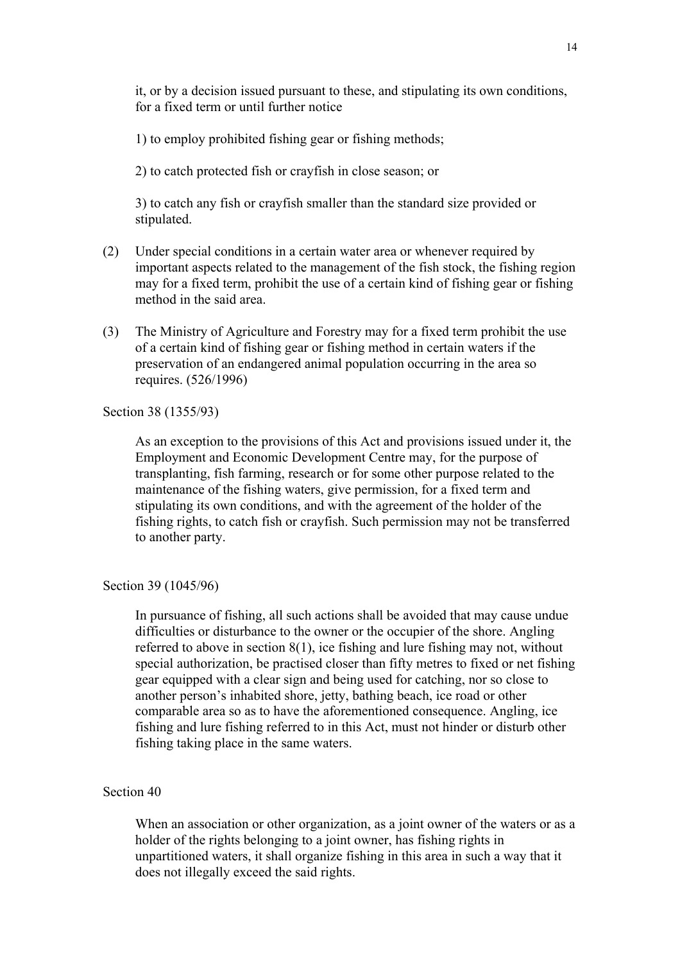it, or by a decision issued pursuant to these, and stipulating its own conditions, for a fixed term or until further notice

1) to employ prohibited fishing gear or fishing methods;

2) to catch protected fish or crayfish in close season; or

3) to catch any fish or crayfish smaller than the standard size provided or stipulated.

- (2) Under special conditions in a certain water area or whenever required by important aspects related to the management of the fish stock, the fishing region may for a fixed term, prohibit the use of a certain kind of fishing gear or fishing method in the said area.
- (3) The Ministry of Agriculture and Forestry may for a fixed term prohibit the use of a certain kind of fishing gear or fishing method in certain waters if the preservation of an endangered animal population occurring in the area so requires. (526/1996)

#### Section 38 (1355/93)

As an exception to the provisions of this Act and provisions issued under it, the Employment and Economic Development Centre may, for the purpose of transplanting, fish farming, research or for some other purpose related to the maintenance of the fishing waters, give permission, for a fixed term and stipulating its own conditions, and with the agreement of the holder of the fishing rights, to catch fish or crayfish. Such permission may not be transferred to another party.

### Section 39 (1045/96)

In pursuance of fishing, all such actions shall be avoided that may cause undue difficulties or disturbance to the owner or the occupier of the shore. Angling referred to above in section 8(1), ice fishing and lure fishing may not, without special authorization, be practised closer than fifty metres to fixed or net fishing gear equipped with a clear sign and being used for catching, nor so close to another person's inhabited shore, jetty, bathing beach, ice road or other comparable area so as to have the aforementioned consequence. Angling, ice fishing and lure fishing referred to in this Act, must not hinder or disturb other fishing taking place in the same waters.

#### Section 40

When an association or other organization, as a joint owner of the waters or as a holder of the rights belonging to a joint owner, has fishing rights in unpartitioned waters, it shall organize fishing in this area in such a way that it does not illegally exceed the said rights.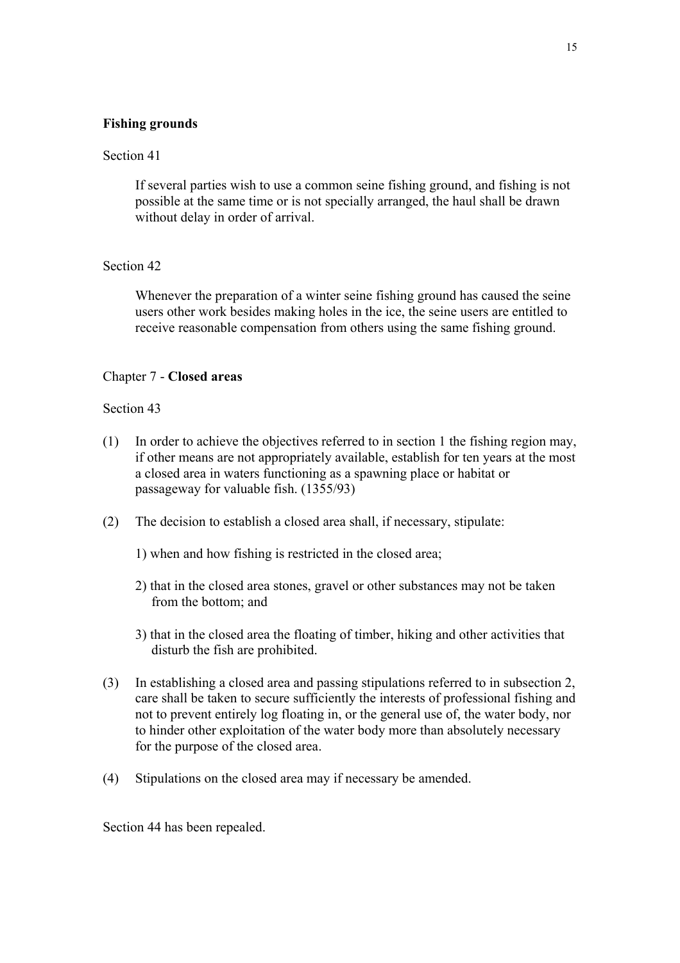### **Fishing grounds**

### Section 41

If several parties wish to use a common seine fishing ground, and fishing is not possible at the same time or is not specially arranged, the haul shall be drawn without delay in order of arrival.

#### Section 42

Whenever the preparation of a winter seine fishing ground has caused the seine users other work besides making holes in the ice, the seine users are entitled to receive reasonable compensation from others using the same fishing ground.

### Chapter 7 - **Closed areas**

#### Section 43

- (1) In order to achieve the objectives referred to in section 1 the fishing region may, if other means are not appropriately available, establish for ten years at the most a closed area in waters functioning as a spawning place or habitat or passageway for valuable fish. (1355/93)
- (2) The decision to establish a closed area shall, if necessary, stipulate:
	- 1) when and how fishing is restricted in the closed area;
	- 2) that in the closed area stones, gravel or other substances may not be taken from the bottom; and
	- 3) that in the closed area the floating of timber, hiking and other activities that disturb the fish are prohibited.
- (3) In establishing a closed area and passing stipulations referred to in subsection 2, care shall be taken to secure sufficiently the interests of professional fishing and not to prevent entirely log floating in, or the general use of, the water body, nor to hinder other exploitation of the water body more than absolutely necessary for the purpose of the closed area.
- (4) Stipulations on the closed area may if necessary be amended.

Section 44 has been repealed.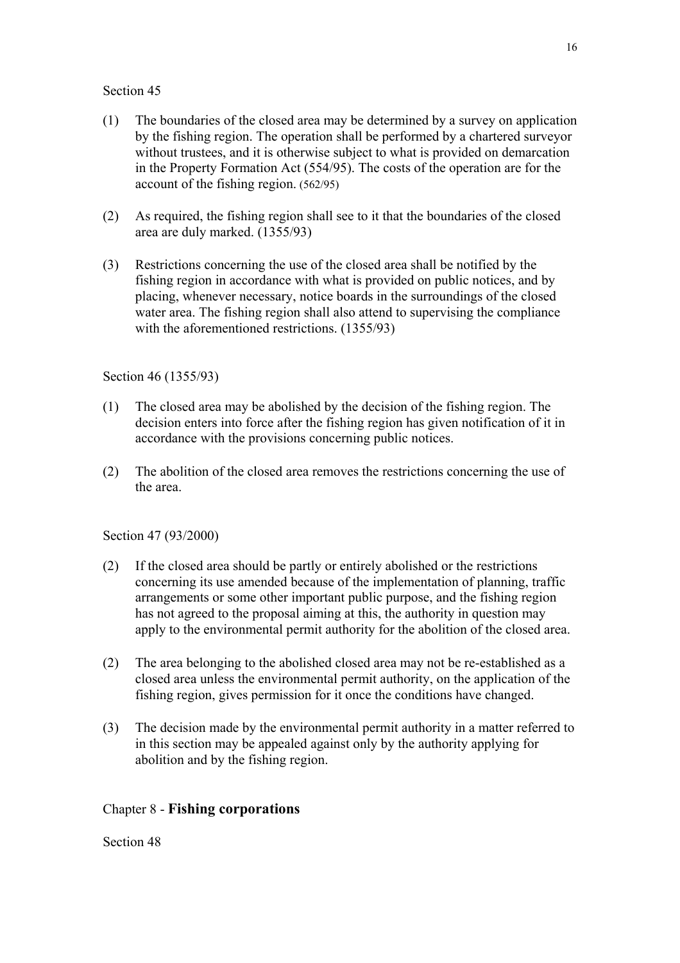- (1) The boundaries of the closed area may be determined by a survey on application by the fishing region. The operation shall be performed by a chartered surveyor without trustees, and it is otherwise subject to what is provided on demarcation in the Property Formation Act (554/95). The costs of the operation are for the account of the fishing region. (562/95)
- (2) As required, the fishing region shall see to it that the boundaries of the closed area are duly marked. (1355/93)
- (3) Restrictions concerning the use of the closed area shall be notified by the fishing region in accordance with what is provided on public notices, and by placing, whenever necessary, notice boards in the surroundings of the closed water area. The fishing region shall also attend to supervising the compliance with the aforementioned restrictions. (1355/93)

## Section 46 (1355/93)

- (1) The closed area may be abolished by the decision of the fishing region. The decision enters into force after the fishing region has given notification of it in accordance with the provisions concerning public notices.
- (2) The abolition of the closed area removes the restrictions concerning the use of the area.

## Section 47 (93/2000)

- (2) If the closed area should be partly or entirely abolished or the restrictions concerning its use amended because of the implementation of planning, traffic arrangements or some other important public purpose, and the fishing region has not agreed to the proposal aiming at this, the authority in question may apply to the environmental permit authority for the abolition of the closed area.
- (2) The area belonging to the abolished closed area may not be re-established as a closed area unless the environmental permit authority, on the application of the fishing region, gives permission for it once the conditions have changed.
- (3) The decision made by the environmental permit authority in a matter referred to in this section may be appealed against only by the authority applying for abolition and by the fishing region.

## Chapter 8 - **Fishing corporations**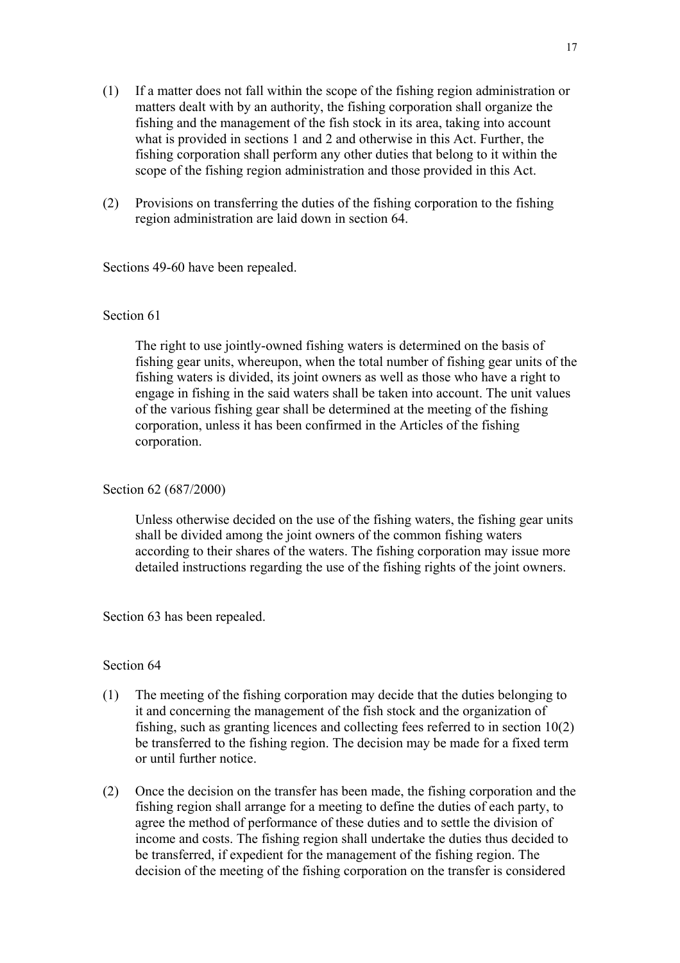- (1) If a matter does not fall within the scope of the fishing region administration or matters dealt with by an authority, the fishing corporation shall organize the fishing and the management of the fish stock in its area, taking into account what is provided in sections 1 and 2 and otherwise in this Act. Further, the fishing corporation shall perform any other duties that belong to it within the scope of the fishing region administration and those provided in this Act.
- (2) Provisions on transferring the duties of the fishing corporation to the fishing region administration are laid down in section 64.

Sections 49-60 have been repealed.

### Section 61

The right to use jointly-owned fishing waters is determined on the basis of fishing gear units, whereupon, when the total number of fishing gear units of the fishing waters is divided, its joint owners as well as those who have a right to engage in fishing in the said waters shall be taken into account. The unit values of the various fishing gear shall be determined at the meeting of the fishing corporation, unless it has been confirmed in the Articles of the fishing corporation.

#### Section 62 (687/2000)

Unless otherwise decided on the use of the fishing waters, the fishing gear units shall be divided among the joint owners of the common fishing waters according to their shares of the waters. The fishing corporation may issue more detailed instructions regarding the use of the fishing rights of the joint owners.

Section 63 has been repealed.

- (1) The meeting of the fishing corporation may decide that the duties belonging to it and concerning the management of the fish stock and the organization of fishing, such as granting licences and collecting fees referred to in section 10(2) be transferred to the fishing region. The decision may be made for a fixed term or until further notice.
- (2) Once the decision on the transfer has been made, the fishing corporation and the fishing region shall arrange for a meeting to define the duties of each party, to agree the method of performance of these duties and to settle the division of income and costs. The fishing region shall undertake the duties thus decided to be transferred, if expedient for the management of the fishing region. The decision of the meeting of the fishing corporation on the transfer is considered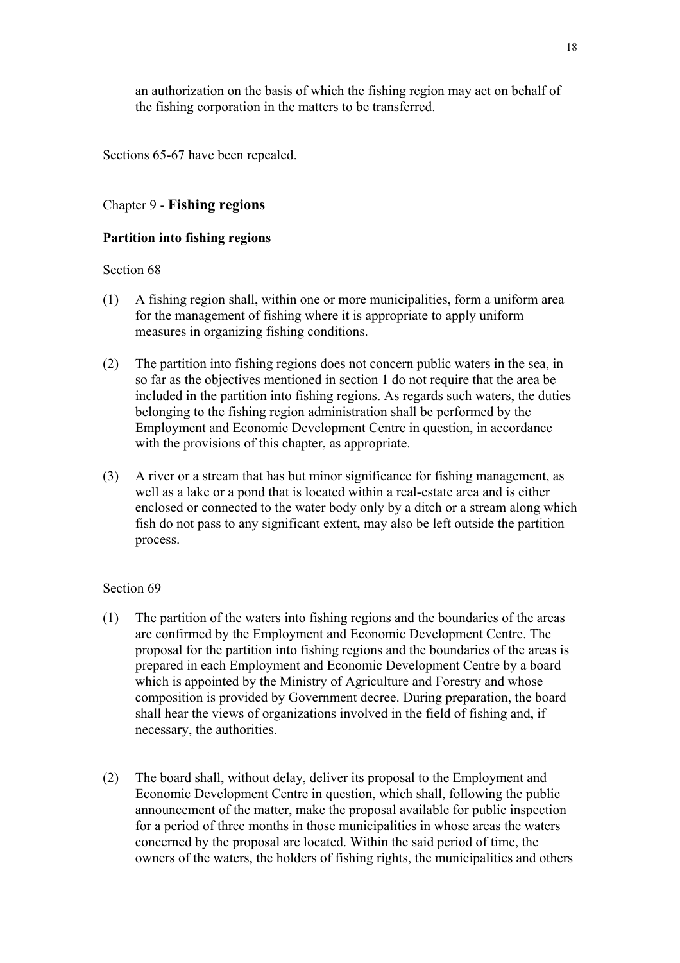an authorization on the basis of which the fishing region may act on behalf of the fishing corporation in the matters to be transferred.

Sections 65-67 have been repealed.

## Chapter 9 - **Fishing regions**

## **Partition into fishing regions**

### Section 68

- (1) A fishing region shall, within one or more municipalities, form a uniform area for the management of fishing where it is appropriate to apply uniform measures in organizing fishing conditions.
- (2) The partition into fishing regions does not concern public waters in the sea, in so far as the objectives mentioned in section 1 do not require that the area be included in the partition into fishing regions. As regards such waters, the duties belonging to the fishing region administration shall be performed by the Employment and Economic Development Centre in question, in accordance with the provisions of this chapter, as appropriate.
- (3) A river or a stream that has but minor significance for fishing management, as well as a lake or a pond that is located within a real-estate area and is either enclosed or connected to the water body only by a ditch or a stream along which fish do not pass to any significant extent, may also be left outside the partition process.

- (1) The partition of the waters into fishing regions and the boundaries of the areas are confirmed by the Employment and Economic Development Centre. The proposal for the partition into fishing regions and the boundaries of the areas is prepared in each Employment and Economic Development Centre by a board which is appointed by the Ministry of Agriculture and Forestry and whose composition is provided by Government decree. During preparation, the board shall hear the views of organizations involved in the field of fishing and, if necessary, the authorities.
- (2) The board shall, without delay, deliver its proposal to the Employment and Economic Development Centre in question, which shall, following the public announcement of the matter, make the proposal available for public inspection for a period of three months in those municipalities in whose areas the waters concerned by the proposal are located. Within the said period of time, the owners of the waters, the holders of fishing rights, the municipalities and others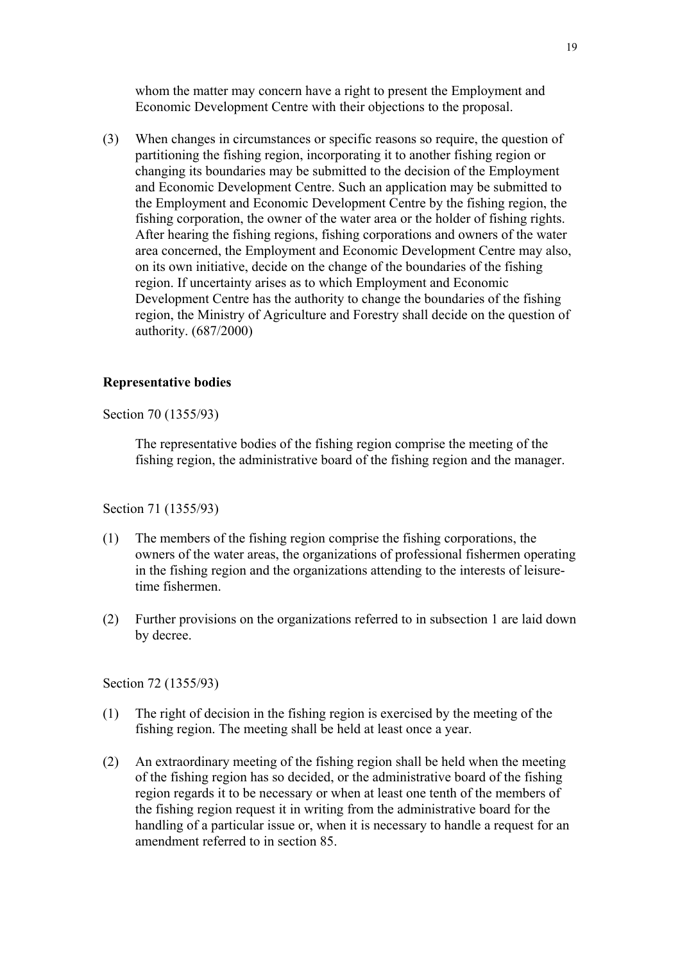whom the matter may concern have a right to present the Employment and Economic Development Centre with their objections to the proposal.

(3) When changes in circumstances or specific reasons so require, the question of partitioning the fishing region, incorporating it to another fishing region or changing its boundaries may be submitted to the decision of the Employment and Economic Development Centre. Such an application may be submitted to the Employment and Economic Development Centre by the fishing region, the fishing corporation, the owner of the water area or the holder of fishing rights. After hearing the fishing regions, fishing corporations and owners of the water area concerned, the Employment and Economic Development Centre may also, on its own initiative, decide on the change of the boundaries of the fishing region. If uncertainty arises as to which Employment and Economic Development Centre has the authority to change the boundaries of the fishing region, the Ministry of Agriculture and Forestry shall decide on the question of authority. (687/2000)

#### **Representative bodies**

Section 70 (1355/93)

The representative bodies of the fishing region comprise the meeting of the fishing region, the administrative board of the fishing region and the manager.

Section 71 (1355/93)

- (1) The members of the fishing region comprise the fishing corporations, the owners of the water areas, the organizations of professional fishermen operating in the fishing region and the organizations attending to the interests of leisuretime fishermen.
- (2) Further provisions on the organizations referred to in subsection 1 are laid down by decree.

Section 72 (1355/93)

- (1) The right of decision in the fishing region is exercised by the meeting of the fishing region. The meeting shall be held at least once a year.
- (2) An extraordinary meeting of the fishing region shall be held when the meeting of the fishing region has so decided, or the administrative board of the fishing region regards it to be necessary or when at least one tenth of the members of the fishing region request it in writing from the administrative board for the handling of a particular issue or, when it is necessary to handle a request for an amendment referred to in section 85.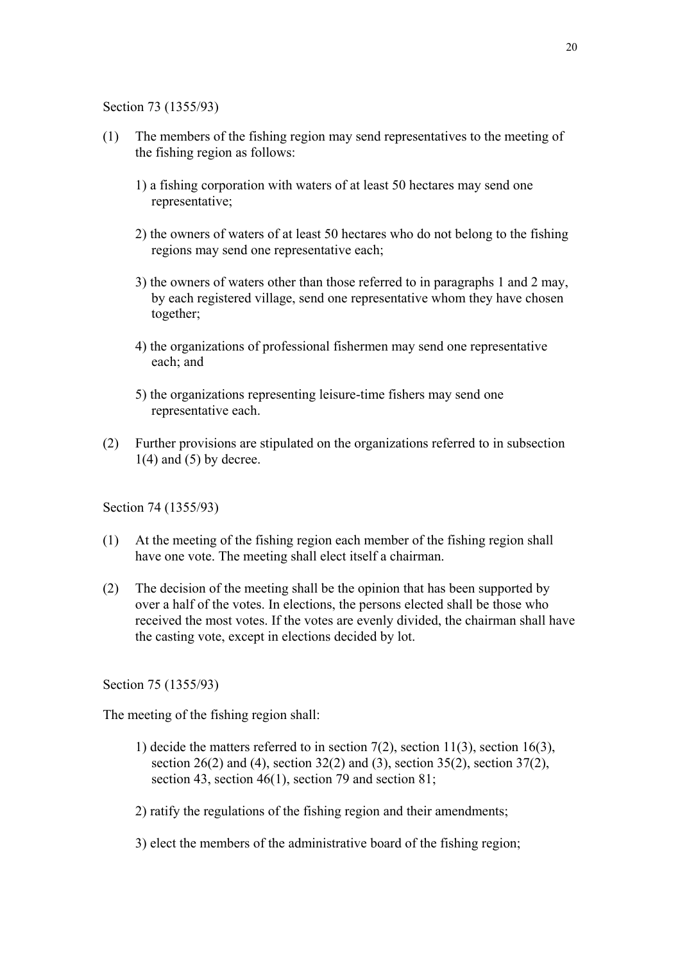Section 73 (1355/93)

- (1) The members of the fishing region may send representatives to the meeting of the fishing region as follows:
	- 1) a fishing corporation with waters of at least 50 hectares may send one representative;
	- 2) the owners of waters of at least 50 hectares who do not belong to the fishing regions may send one representative each;
	- 3) the owners of waters other than those referred to in paragraphs 1 and 2 may, by each registered village, send one representative whom they have chosen together;
	- 4) the organizations of professional fishermen may send one representative each; and
	- 5) the organizations representing leisure-time fishers may send one representative each.
- (2) Further provisions are stipulated on the organizations referred to in subsection  $1(4)$  and  $(5)$  by decree.

Section 74 (1355/93)

- (1) At the meeting of the fishing region each member of the fishing region shall have one vote. The meeting shall elect itself a chairman.
- (2) The decision of the meeting shall be the opinion that has been supported by over a half of the votes. In elections, the persons elected shall be those who received the most votes. If the votes are evenly divided, the chairman shall have the casting vote, except in elections decided by lot.

Section 75 (1355/93)

The meeting of the fishing region shall:

- 1) decide the matters referred to in section  $7(2)$ , section  $11(3)$ , section  $16(3)$ , section  $26(2)$  and (4), section  $32(2)$  and (3), section  $35(2)$ , section  $37(2)$ , section 43, section 46(1), section 79 and section 81;
- 2) ratify the regulations of the fishing region and their amendments;
- 3) elect the members of the administrative board of the fishing region;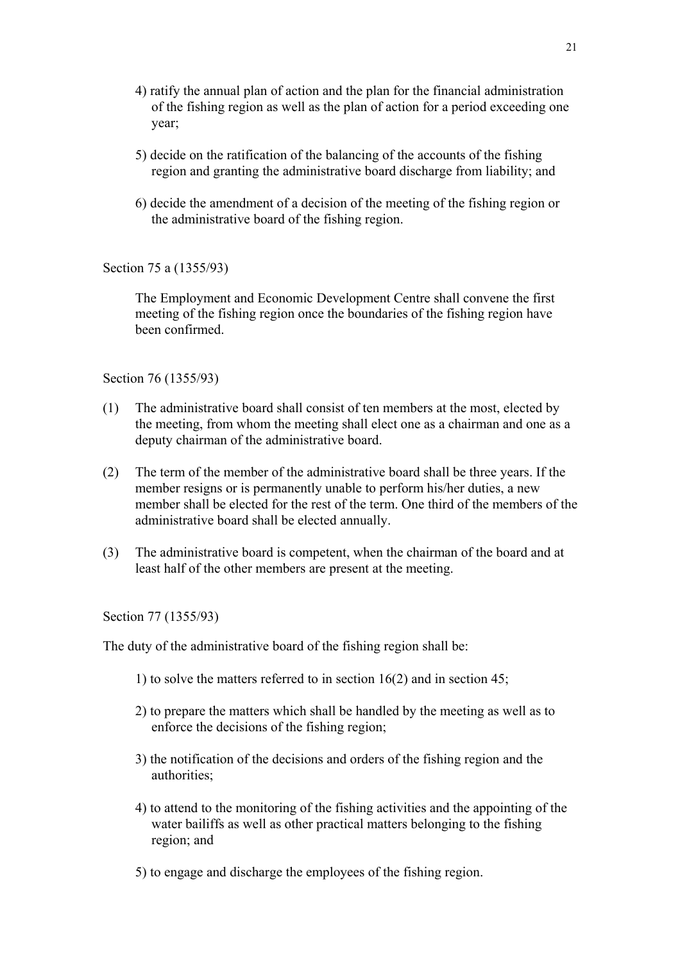- 4) ratify the annual plan of action and the plan for the financial administration of the fishing region as well as the plan of action for a period exceeding one year;
- 5) decide on the ratification of the balancing of the accounts of the fishing region and granting the administrative board discharge from liability; and
- 6) decide the amendment of a decision of the meeting of the fishing region or the administrative board of the fishing region.

Section 75 a (1355/93)

The Employment and Economic Development Centre shall convene the first meeting of the fishing region once the boundaries of the fishing region have been confirmed.

Section 76 (1355/93)

- (1) The administrative board shall consist of ten members at the most, elected by the meeting, from whom the meeting shall elect one as a chairman and one as a deputy chairman of the administrative board.
- (2) The term of the member of the administrative board shall be three years. If the member resigns or is permanently unable to perform his/her duties, a new member shall be elected for the rest of the term. One third of the members of the administrative board shall be elected annually.
- (3) The administrative board is competent, when the chairman of the board and at least half of the other members are present at the meeting.

Section 77 (1355/93)

The duty of the administrative board of the fishing region shall be:

- 1) to solve the matters referred to in section 16(2) and in section 45;
- 2) to prepare the matters which shall be handled by the meeting as well as to enforce the decisions of the fishing region;
- 3) the notification of the decisions and orders of the fishing region and the authorities;
- 4) to attend to the monitoring of the fishing activities and the appointing of the water bailiffs as well as other practical matters belonging to the fishing region; and
- 5) to engage and discharge the employees of the fishing region.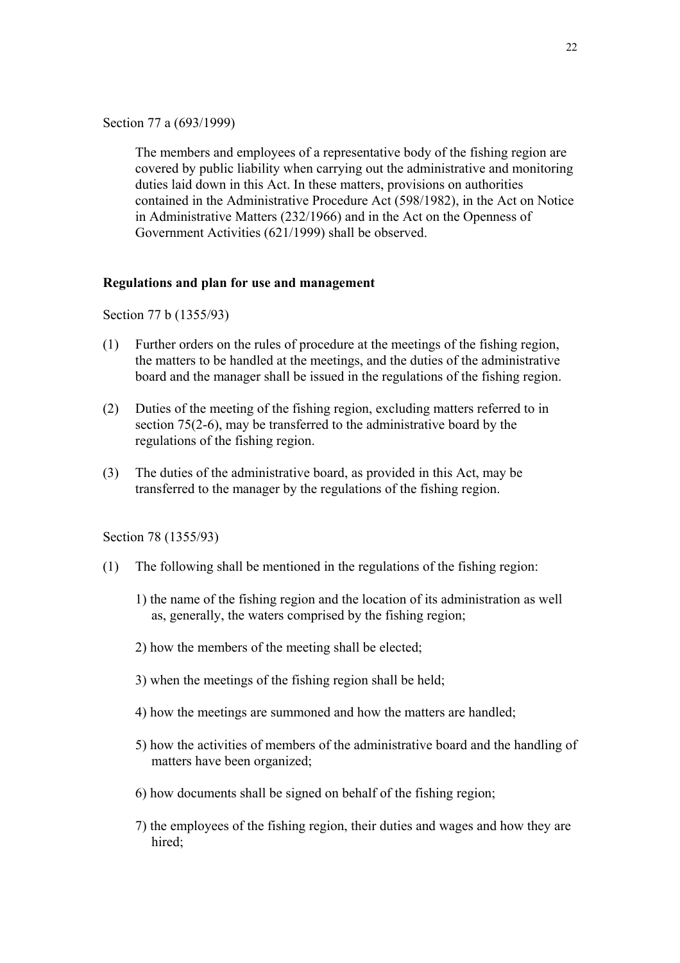Section 77 a (693/1999)

The members and employees of a representative body of the fishing region are covered by public liability when carrying out the administrative and monitoring duties laid down in this Act. In these matters, provisions on authorities contained in the Administrative Procedure Act (598/1982), in the Act on Notice in Administrative Matters (232/1966) and in the Act on the Openness of Government Activities (621/1999) shall be observed.

#### **Regulations and plan for use and management**

Section 77 b (1355/93)

- (1) Further orders on the rules of procedure at the meetings of the fishing region, the matters to be handled at the meetings, and the duties of the administrative board and the manager shall be issued in the regulations of the fishing region.
- (2) Duties of the meeting of the fishing region, excluding matters referred to in section 75(2-6), may be transferred to the administrative board by the regulations of the fishing region.
- (3) The duties of the administrative board, as provided in this Act, may be transferred to the manager by the regulations of the fishing region.

Section 78 (1355/93)

- (1) The following shall be mentioned in the regulations of the fishing region:
	- 1) the name of the fishing region and the location of its administration as well as, generally, the waters comprised by the fishing region;
	- 2) how the members of the meeting shall be elected;
	- 3) when the meetings of the fishing region shall be held;
	- 4) how the meetings are summoned and how the matters are handled;
	- 5) how the activities of members of the administrative board and the handling of matters have been organized;
	- 6) how documents shall be signed on behalf of the fishing region;
	- 7) the employees of the fishing region, their duties and wages and how they are hired;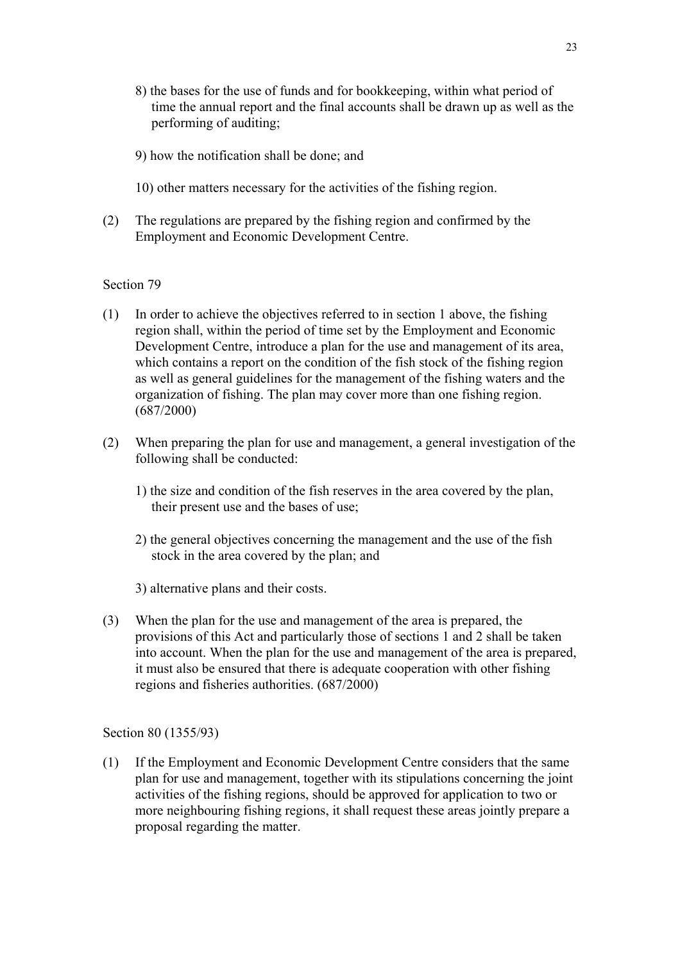- 8) the bases for the use of funds and for bookkeeping, within what period of time the annual report and the final accounts shall be drawn up as well as the performing of auditing;
- 9) how the notification shall be done; and
- 10) other matters necessary for the activities of the fishing region.
- (2) The regulations are prepared by the fishing region and confirmed by the Employment and Economic Development Centre.

- (1) In order to achieve the objectives referred to in section 1 above, the fishing region shall, within the period of time set by the Employment and Economic Development Centre, introduce a plan for the use and management of its area, which contains a report on the condition of the fish stock of the fishing region as well as general guidelines for the management of the fishing waters and the organization of fishing. The plan may cover more than one fishing region. (687/2000)
- (2) When preparing the plan for use and management, a general investigation of the following shall be conducted:
	- 1) the size and condition of the fish reserves in the area covered by the plan, their present use and the bases of use;
	- 2) the general objectives concerning the management and the use of the fish stock in the area covered by the plan; and
	- 3) alternative plans and their costs.
- (3) When the plan for the use and management of the area is prepared, the provisions of this Act and particularly those of sections 1 and 2 shall be taken into account. When the plan for the use and management of the area is prepared, it must also be ensured that there is adequate cooperation with other fishing regions and fisheries authorities. (687/2000)

#### Section 80 (1355/93)

(1) If the Employment and Economic Development Centre considers that the same plan for use and management, together with its stipulations concerning the joint activities of the fishing regions, should be approved for application to two or more neighbouring fishing regions, it shall request these areas jointly prepare a proposal regarding the matter.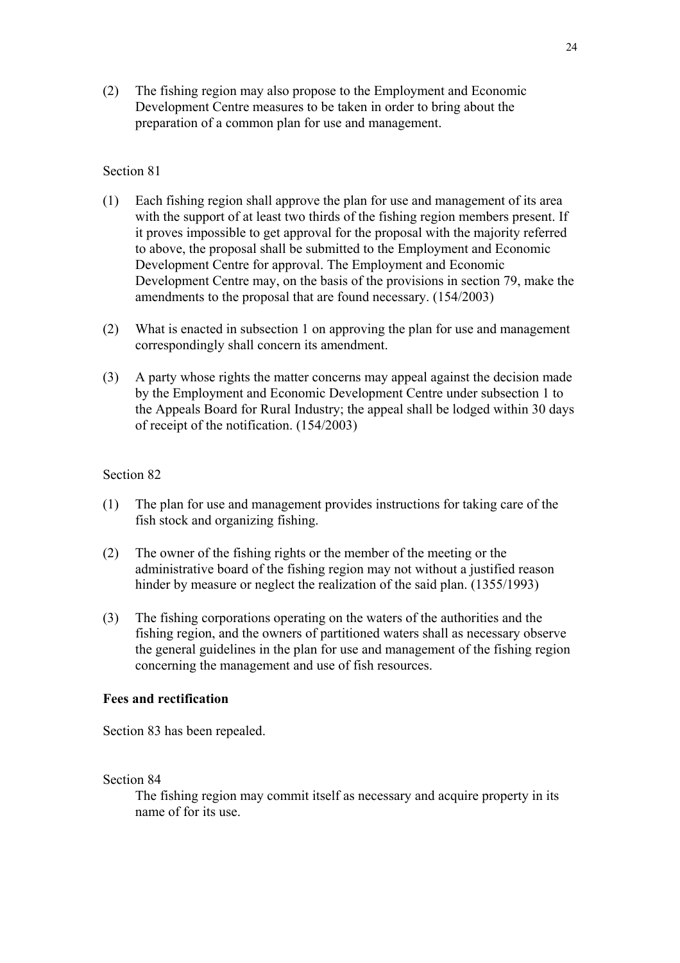(2) The fishing region may also propose to the Employment and Economic Development Centre measures to be taken in order to bring about the preparation of a common plan for use and management.

#### Section 81

- (1) Each fishing region shall approve the plan for use and management of its area with the support of at least two thirds of the fishing region members present. If it proves impossible to get approval for the proposal with the majority referred to above, the proposal shall be submitted to the Employment and Economic Development Centre for approval. The Employment and Economic Development Centre may, on the basis of the provisions in section 79, make the amendments to the proposal that are found necessary. (154/2003)
- (2) What is enacted in subsection 1 on approving the plan for use and management correspondingly shall concern its amendment.
- (3) A party whose rights the matter concerns may appeal against the decision made by the Employment and Economic Development Centre under subsection 1 to the Appeals Board for Rural Industry; the appeal shall be lodged within 30 days of receipt of the notification. (154/2003)

#### Section 82

- (1) The plan for use and management provides instructions for taking care of the fish stock and organizing fishing.
- (2) The owner of the fishing rights or the member of the meeting or the administrative board of the fishing region may not without a justified reason hinder by measure or neglect the realization of the said plan. (1355/1993)
- (3) The fishing corporations operating on the waters of the authorities and the fishing region, and the owners of partitioned waters shall as necessary observe the general guidelines in the plan for use and management of the fishing region concerning the management and use of fish resources.

### **Fees and rectification**

Section 83 has been repealed.

Section 84

The fishing region may commit itself as necessary and acquire property in its name of for its use.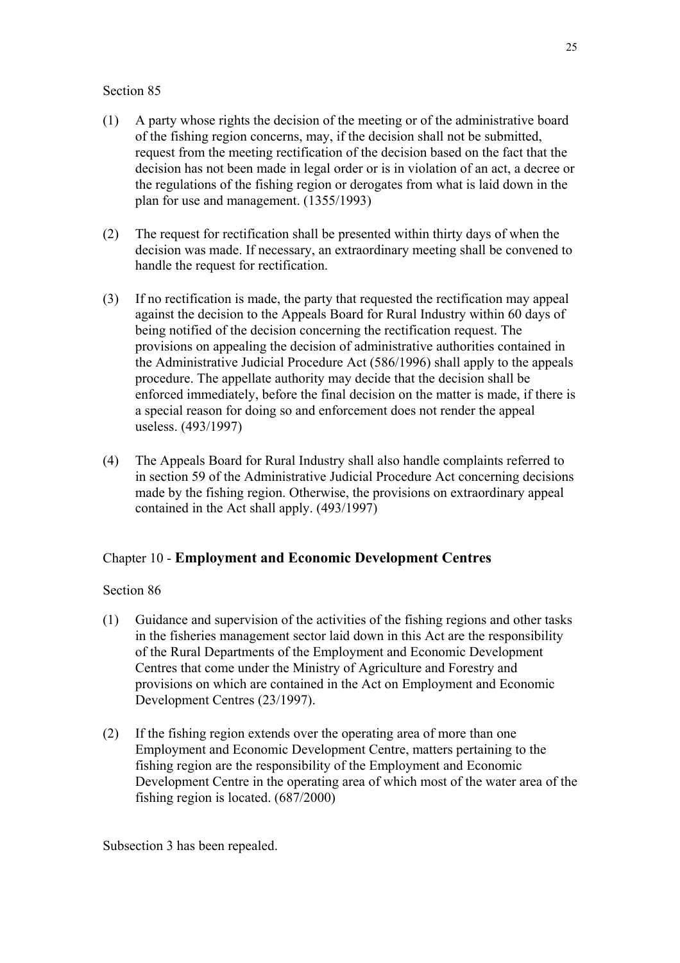- (1) A party whose rights the decision of the meeting or of the administrative board of the fishing region concerns, may, if the decision shall not be submitted, request from the meeting rectification of the decision based on the fact that the decision has not been made in legal order or is in violation of an act, a decree or the regulations of the fishing region or derogates from what is laid down in the plan for use and management. (1355/1993)
- (2) The request for rectification shall be presented within thirty days of when the decision was made. If necessary, an extraordinary meeting shall be convened to handle the request for rectification.
- (3) If no rectification is made, the party that requested the rectification may appeal against the decision to the Appeals Board for Rural Industry within 60 days of being notified of the decision concerning the rectification request. The provisions on appealing the decision of administrative authorities contained in the Administrative Judicial Procedure Act (586/1996) shall apply to the appeals procedure. The appellate authority may decide that the decision shall be enforced immediately, before the final decision on the matter is made, if there is a special reason for doing so and enforcement does not render the appeal useless. (493/1997)
- (4) The Appeals Board for Rural Industry shall also handle complaints referred to in section 59 of the Administrative Judicial Procedure Act concerning decisions made by the fishing region. Otherwise, the provisions on extraordinary appeal contained in the Act shall apply. (493/1997)

## Chapter 10 - **Employment and Economic Development Centres**

## Section 86

- (1) Guidance and supervision of the activities of the fishing regions and other tasks in the fisheries management sector laid down in this Act are the responsibility of the Rural Departments of the Employment and Economic Development Centres that come under the Ministry of Agriculture and Forestry and provisions on which are contained in the Act on Employment and Economic Development Centres (23/1997).
- (2) If the fishing region extends over the operating area of more than one Employment and Economic Development Centre, matters pertaining to the fishing region are the responsibility of the Employment and Economic Development Centre in the operating area of which most of the water area of the fishing region is located. (687/2000)

Subsection 3 has been repealed.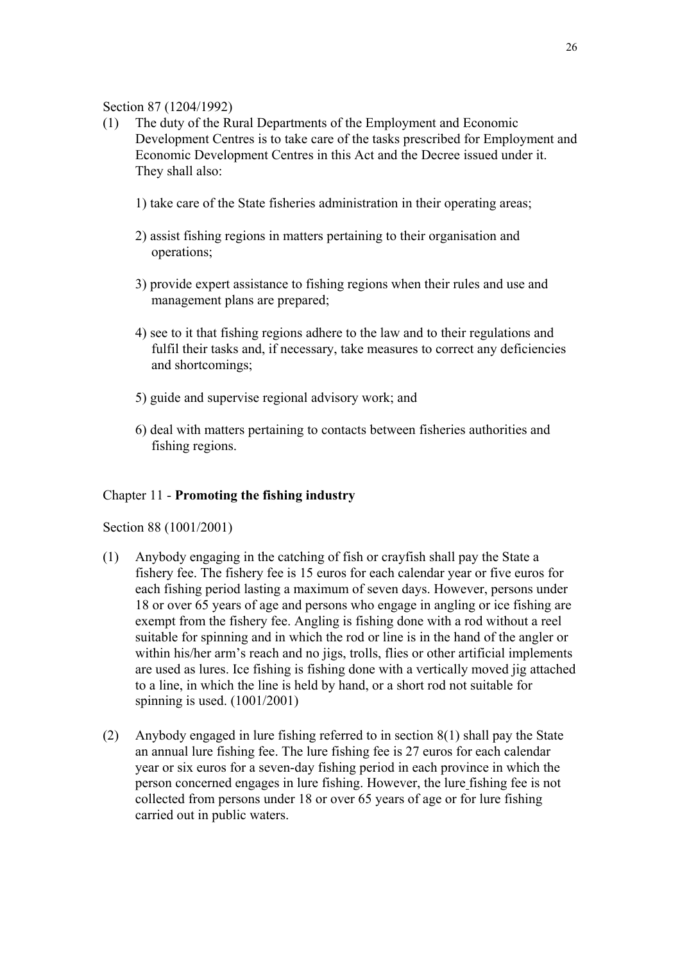### Section 87 (1204/1992)

- (1) The duty of the Rural Departments of the Employment and Economic Development Centres is to take care of the tasks prescribed for Employment and Economic Development Centres in this Act and the Decree issued under it. They shall also:
	- 1) take care of the State fisheries administration in their operating areas;
	- 2) assist fishing regions in matters pertaining to their organisation and operations;
	- 3) provide expert assistance to fishing regions when their rules and use and management plans are prepared;
	- 4) see to it that fishing regions adhere to the law and to their regulations and fulfil their tasks and, if necessary, take measures to correct any deficiencies and shortcomings;
	- 5) guide and supervise regional advisory work; and
	- 6) deal with matters pertaining to contacts between fisheries authorities and fishing regions.

### Chapter 11 - **Promoting the fishing industry**

Section 88 (1001/2001)

- (1) Anybody engaging in the catching of fish or crayfish shall pay the State a fishery fee. The fishery fee is 15 euros for each calendar year or five euros for each fishing period lasting a maximum of seven days. However, persons under 18 or over 65 years of age and persons who engage in angling or ice fishing are exempt from the fishery fee. Angling is fishing done with a rod without a reel suitable for spinning and in which the rod or line is in the hand of the angler or within his/her arm's reach and no jigs, trolls, flies or other artificial implements are used as lures. Ice fishing is fishing done with a vertically moved jig attached to a line, in which the line is held by hand, or a short rod not suitable for spinning is used. (1001/2001)
- (2) Anybody engaged in lure fishing referred to in section 8(1) shall pay the State an annual lure fishing fee. The lure fishing fee is 27 euros for each calendar year or six euros for a seven-day fishing period in each province in which the person concerned engages in lure fishing. However, the lure fishing fee is not collected from persons under 18 or over 65 years of age or for lure fishing carried out in public waters.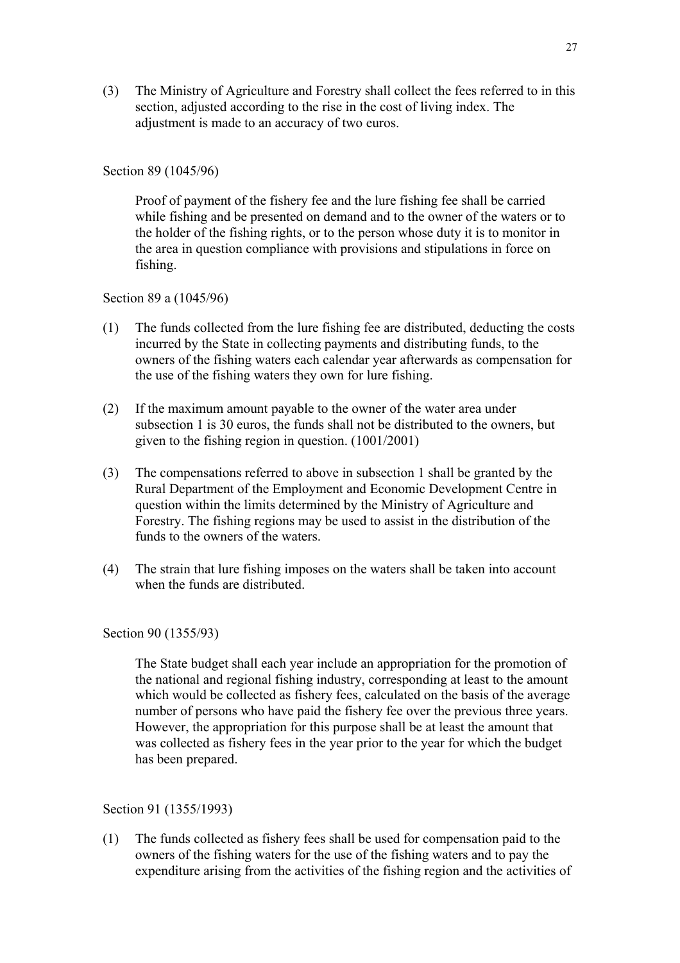(3) The Ministry of Agriculture and Forestry shall collect the fees referred to in this section, adjusted according to the rise in the cost of living index. The adjustment is made to an accuracy of two euros.

#### Section 89 (1045/96)

Proof of payment of the fishery fee and the lure fishing fee shall be carried while fishing and be presented on demand and to the owner of the waters or to the holder of the fishing rights, or to the person whose duty it is to monitor in the area in question compliance with provisions and stipulations in force on fishing.

#### Section 89 a (1045/96)

- (1) The funds collected from the lure fishing fee are distributed, deducting the costs incurred by the State in collecting payments and distributing funds, to the owners of the fishing waters each calendar year afterwards as compensation for the use of the fishing waters they own for lure fishing.
- (2) If the maximum amount payable to the owner of the water area under subsection 1 is 30 euros, the funds shall not be distributed to the owners, but given to the fishing region in question. (1001/2001)
- (3) The compensations referred to above in subsection 1 shall be granted by the Rural Department of the Employment and Economic Development Centre in question within the limits determined by the Ministry of Agriculture and Forestry. The fishing regions may be used to assist in the distribution of the funds to the owners of the waters.
- (4) The strain that lure fishing imposes on the waters shall be taken into account when the funds are distributed.

#### Section 90 (1355/93)

The State budget shall each year include an appropriation for the promotion of the national and regional fishing industry, corresponding at least to the amount which would be collected as fishery fees, calculated on the basis of the average number of persons who have paid the fishery fee over the previous three years. However, the appropriation for this purpose shall be at least the amount that was collected as fishery fees in the year prior to the year for which the budget has been prepared.

#### Section 91 (1355/1993)

(1) The funds collected as fishery fees shall be used for compensation paid to the owners of the fishing waters for the use of the fishing waters and to pay the expenditure arising from the activities of the fishing region and the activities of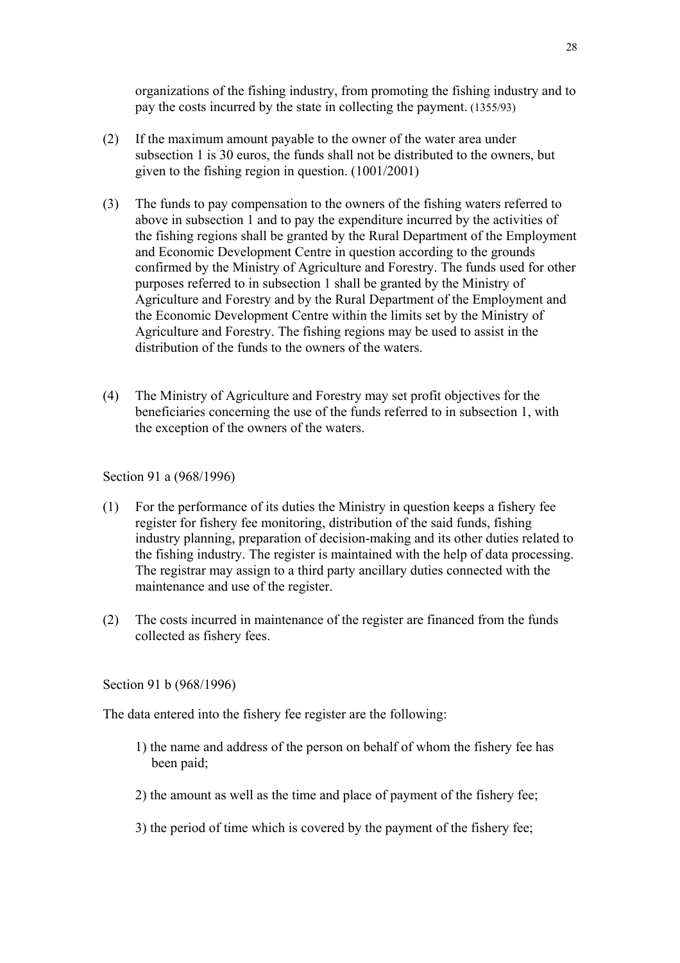organizations of the fishing industry, from promoting the fishing industry and to pay the costs incurred by the state in collecting the payment. (1355/93)

- (2) If the maximum amount payable to the owner of the water area under subsection 1 is 30 euros, the funds shall not be distributed to the owners, but given to the fishing region in question. (1001/2001)
- (3) The funds to pay compensation to the owners of the fishing waters referred to above in subsection 1 and to pay the expenditure incurred by the activities of the fishing regions shall be granted by the Rural Department of the Employment and Economic Development Centre in question according to the grounds confirmed by the Ministry of Agriculture and Forestry. The funds used for other purposes referred to in subsection 1 shall be granted by the Ministry of Agriculture and Forestry and by the Rural Department of the Employment and the Economic Development Centre within the limits set by the Ministry of Agriculture and Forestry. The fishing regions may be used to assist in the distribution of the funds to the owners of the waters.
- (4) The Ministry of Agriculture and Forestry may set profit objectives for the beneficiaries concerning the use of the funds referred to in subsection 1, with the exception of the owners of the waters.

#### Section 91 a (968/1996)

- (1) For the performance of its duties the Ministry in question keeps a fishery fee register for fishery fee monitoring, distribution of the said funds, fishing industry planning, preparation of decision-making and its other duties related to the fishing industry. The register is maintained with the help of data processing. The registrar may assign to a third party ancillary duties connected with the maintenance and use of the register.
- (2) The costs incurred in maintenance of the register are financed from the funds collected as fishery fees.

#### Section 91 b (968/1996)

The data entered into the fishery fee register are the following:

- 1) the name and address of the person on behalf of whom the fishery fee has been paid;
- 2) the amount as well as the time and place of payment of the fishery fee;
- 3) the period of time which is covered by the payment of the fishery fee;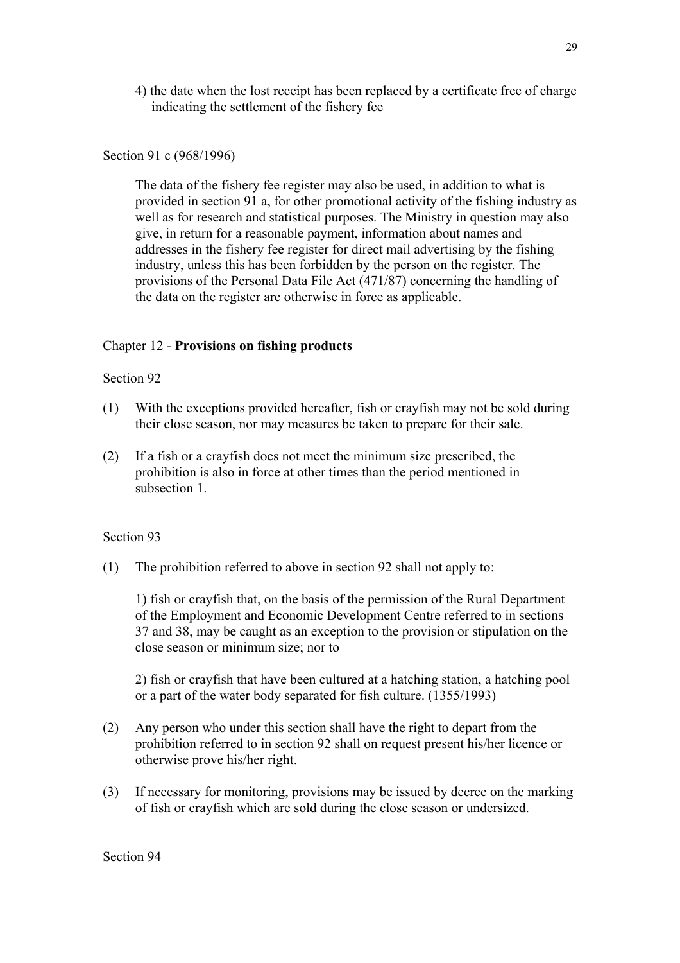4) the date when the lost receipt has been replaced by a certificate free of charge indicating the settlement of the fishery fee

### Section 91 c (968/1996)

The data of the fishery fee register may also be used, in addition to what is provided in section 91 a, for other promotional activity of the fishing industry as well as for research and statistical purposes. The Ministry in question may also give, in return for a reasonable payment, information about names and addresses in the fishery fee register for direct mail advertising by the fishing industry, unless this has been forbidden by the person on the register. The provisions of the Personal Data File Act (471/87) concerning the handling of the data on the register are otherwise in force as applicable.

## Chapter 12 - **Provisions on fishing products**

### Section 92

- (1) With the exceptions provided hereafter, fish or crayfish may not be sold during their close season, nor may measures be taken to prepare for their sale.
- (2) If a fish or a crayfish does not meet the minimum size prescribed, the prohibition is also in force at other times than the period mentioned in subsection 1.

### Section 93

(1) The prohibition referred to above in section 92 shall not apply to:

1) fish or crayfish that, on the basis of the permission of the Rural Department of the Employment and Economic Development Centre referred to in sections 37 and 38, may be caught as an exception to the provision or stipulation on the close season or minimum size; nor to

2) fish or crayfish that have been cultured at a hatching station, a hatching pool or a part of the water body separated for fish culture. (1355/1993)

- (2) Any person who under this section shall have the right to depart from the prohibition referred to in section 92 shall on request present his/her licence or otherwise prove his/her right.
- (3) If necessary for monitoring, provisions may be issued by decree on the marking of fish or crayfish which are sold during the close season or undersized.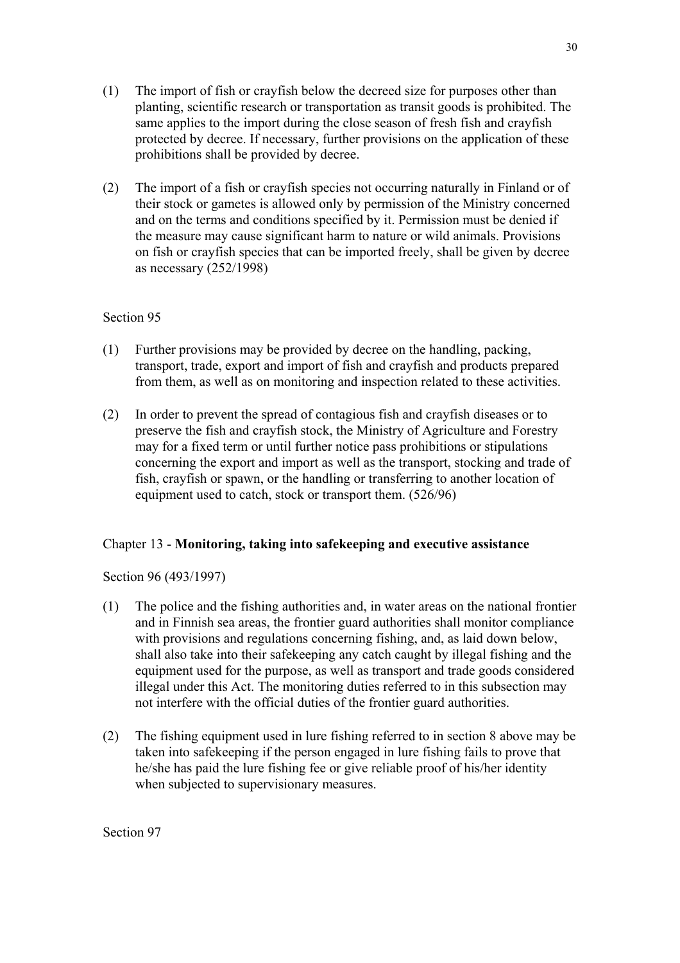- (1) The import of fish or crayfish below the decreed size for purposes other than planting, scientific research or transportation as transit goods is prohibited. The same applies to the import during the close season of fresh fish and crayfish protected by decree. If necessary, further provisions on the application of these prohibitions shall be provided by decree.
- (2) The import of a fish or crayfish species not occurring naturally in Finland or of their stock or gametes is allowed only by permission of the Ministry concerned and on the terms and conditions specified by it. Permission must be denied if the measure may cause significant harm to nature or wild animals. Provisions on fish or crayfish species that can be imported freely, shall be given by decree as necessary (252/1998)

- (1) Further provisions may be provided by decree on the handling, packing, transport, trade, export and import of fish and crayfish and products prepared from them, as well as on monitoring and inspection related to these activities.
- (2) In order to prevent the spread of contagious fish and crayfish diseases or to preserve the fish and crayfish stock, the Ministry of Agriculture and Forestry may for a fixed term or until further notice pass prohibitions or stipulations concerning the export and import as well as the transport, stocking and trade of fish, crayfish or spawn, or the handling or transferring to another location of equipment used to catch, stock or transport them. (526/96)

## Chapter 13 - **Monitoring, taking into safekeeping and executive assistance**

Section 96 (493/1997)

- (1) The police and the fishing authorities and, in water areas on the national frontier and in Finnish sea areas, the frontier guard authorities shall monitor compliance with provisions and regulations concerning fishing, and, as laid down below, shall also take into their safekeeping any catch caught by illegal fishing and the equipment used for the purpose, as well as transport and trade goods considered illegal under this Act. The monitoring duties referred to in this subsection may not interfere with the official duties of the frontier guard authorities.
- (2) The fishing equipment used in lure fishing referred to in section 8 above may be taken into safekeeping if the person engaged in lure fishing fails to prove that he/she has paid the lure fishing fee or give reliable proof of his/her identity when subjected to supervisionary measures.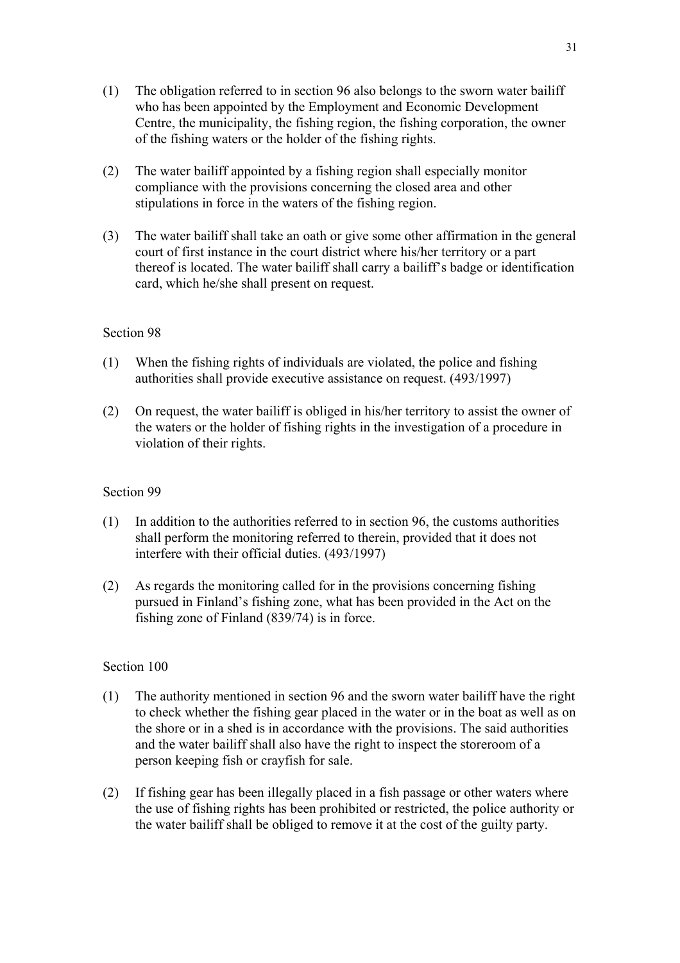- (1) The obligation referred to in section 96 also belongs to the sworn water bailiff who has been appointed by the Employment and Economic Development Centre, the municipality, the fishing region, the fishing corporation, the owner of the fishing waters or the holder of the fishing rights.
- (2) The water bailiff appointed by a fishing region shall especially monitor compliance with the provisions concerning the closed area and other stipulations in force in the waters of the fishing region.
- (3) The water bailiff shall take an oath or give some other affirmation in the general court of first instance in the court district where his/her territory or a part thereof is located. The water bailiff shall carry a bailiff's badge or identification card, which he/she shall present on request.

- (1) When the fishing rights of individuals are violated, the police and fishing authorities shall provide executive assistance on request. (493/1997)
- (2) On request, the water bailiff is obliged in his/her territory to assist the owner of the waters or the holder of fishing rights in the investigation of a procedure in violation of their rights.

#### Section 99

- (1) In addition to the authorities referred to in section 96, the customs authorities shall perform the monitoring referred to therein, provided that it does not interfere with their official duties. (493/1997)
- (2) As regards the monitoring called for in the provisions concerning fishing pursued in Finland's fishing zone, what has been provided in the Act on the fishing zone of Finland (839/74) is in force.

- (1) The authority mentioned in section 96 and the sworn water bailiff have the right to check whether the fishing gear placed in the water or in the boat as well as on the shore or in a shed is in accordance with the provisions. The said authorities and the water bailiff shall also have the right to inspect the storeroom of a person keeping fish or crayfish for sale.
- (2) If fishing gear has been illegally placed in a fish passage or other waters where the use of fishing rights has been prohibited or restricted, the police authority or the water bailiff shall be obliged to remove it at the cost of the guilty party.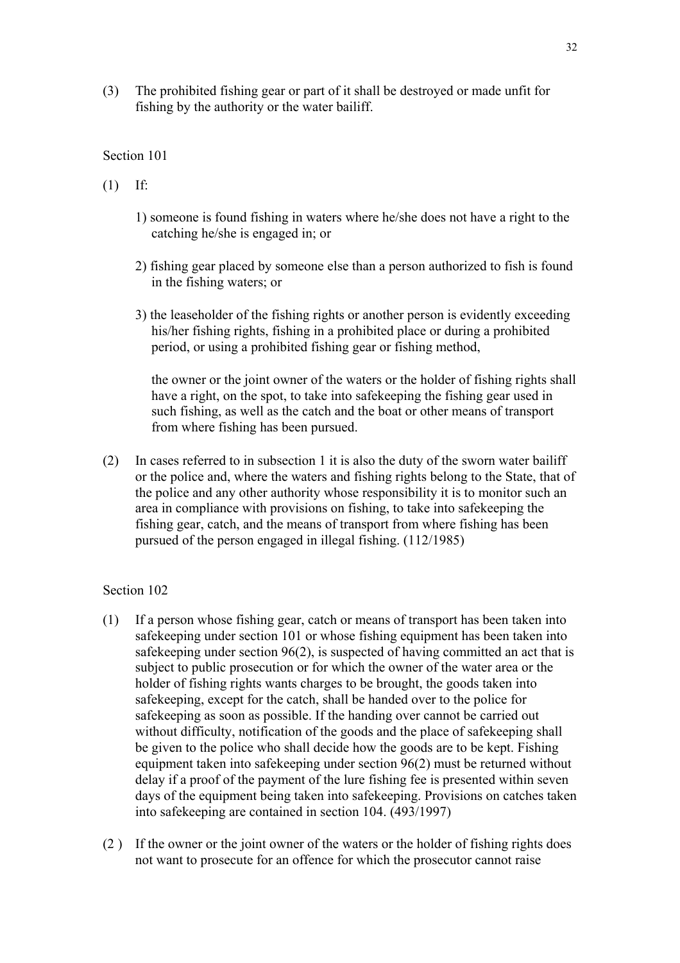(3) The prohibited fishing gear or part of it shall be destroyed or made unfit for fishing by the authority or the water bailiff.

#### Section 101

- (1) If:
	- 1) someone is found fishing in waters where he/she does not have a right to the catching he/she is engaged in; or
	- 2) fishing gear placed by someone else than a person authorized to fish is found in the fishing waters; or
	- 3) the leaseholder of the fishing rights or another person is evidently exceeding his/her fishing rights, fishing in a prohibited place or during a prohibited period, or using a prohibited fishing gear or fishing method,

the owner or the joint owner of the waters or the holder of fishing rights shall have a right, on the spot, to take into safekeeping the fishing gear used in such fishing, as well as the catch and the boat or other means of transport from where fishing has been pursued.

(2) In cases referred to in subsection 1 it is also the duty of the sworn water bailiff or the police and, where the waters and fishing rights belong to the State, that of the police and any other authority whose responsibility it is to monitor such an area in compliance with provisions on fishing, to take into safekeeping the fishing gear, catch, and the means of transport from where fishing has been pursued of the person engaged in illegal fishing. (112/1985)

- (1) If a person whose fishing gear, catch or means of transport has been taken into safekeeping under section 101 or whose fishing equipment has been taken into safekeeping under section 96(2), is suspected of having committed an act that is subject to public prosecution or for which the owner of the water area or the holder of fishing rights wants charges to be brought, the goods taken into safekeeping, except for the catch, shall be handed over to the police for safekeeping as soon as possible. If the handing over cannot be carried out without difficulty, notification of the goods and the place of safekeeping shall be given to the police who shall decide how the goods are to be kept. Fishing equipment taken into safekeeping under section 96(2) must be returned without delay if a proof of the payment of the lure fishing fee is presented within seven days of the equipment being taken into safekeeping. Provisions on catches taken into safekeeping are contained in section 104. (493/1997)
- (2 ) If the owner or the joint owner of the waters or the holder of fishing rights does not want to prosecute for an offence for which the prosecutor cannot raise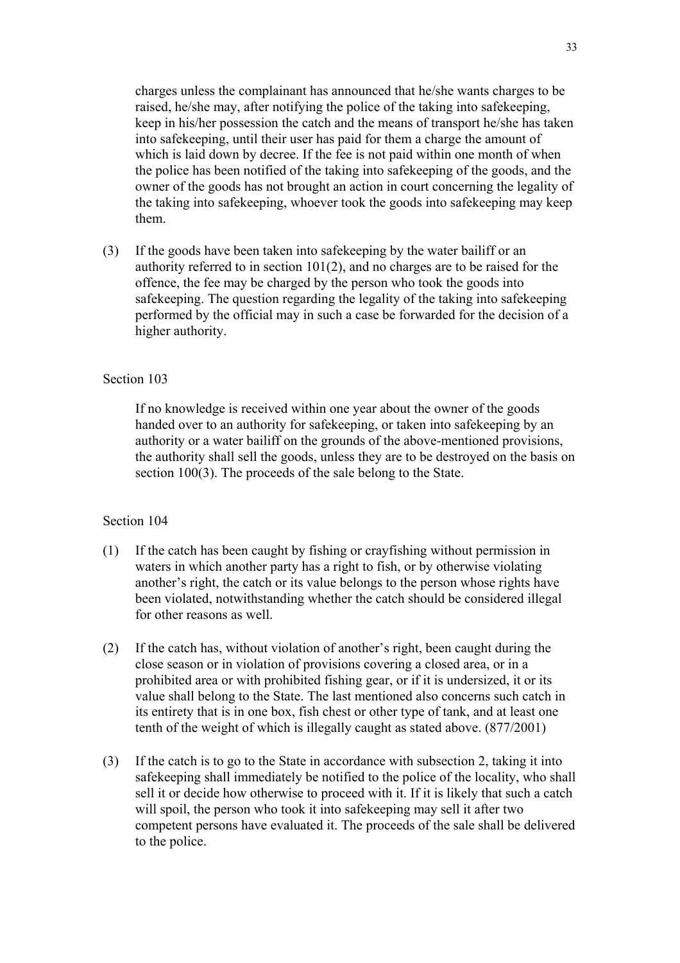33

charges unless the complainant has announced that he/she wants charges to be raised, he/she may, after notifying the police of the taking into safekeeping, keep in his/her possession the catch and the means of transport he/she has taken into safekeeping, until their user has paid for them a charge the amount of which is laid down by decree. If the fee is not paid within one month of when the police has been notified of the taking into safekeeping of the goods, and the owner of the goods has not brought an action in court concerning the legality of the taking into safekeeping, whoever took the goods into safekeeping may keep them.

(3) If the goods have been taken into safekeeping by the water bailiff or an authority referred to in section 101(2), and no charges are to be raised for the offence, the fee may be charged by the person who took the goods into safekeeping. The question regarding the legality of the taking into safekeeping performed by the official may in such a case be forwarded for the decision of a higher authority.

## Section 103

If no knowledge is received within one year about the owner of the goods handed over to an authority for safekeeping, or taken into safekeeping by an authority or a water bailiff on the grounds of the above-mentioned provisions, the authority shall sell the goods, unless they are to be destroyed on the basis on section 100(3). The proceeds of the sale belong to the State.

- (1) If the catch has been caught by fishing or crayfishing without permission in waters in which another party has a right to fish, or by otherwise violating another's right, the catch or its value belongs to the person whose rights have been violated, notwithstanding whether the catch should be considered illegal for other reasons as well.
- (2) If the catch has, without violation of another's right, been caught during the close season or in violation of provisions covering a closed area, or in a prohibited area or with prohibited fishing gear, or if it is undersized, it or its value shall belong to the State. The last mentioned also concerns such catch in its entirety that is in one box, fish chest or other type of tank, and at least one tenth of the weight of which is illegally caught as stated above. (877/2001)
- (3) If the catch is to go to the State in accordance with subsection 2, taking it into safekeeping shall immediately be notified to the police of the locality, who shall sell it or decide how otherwise to proceed with it. If it is likely that such a catch will spoil, the person who took it into safekeeping may sell it after two competent persons have evaluated it. The proceeds of the sale shall be delivered to the police.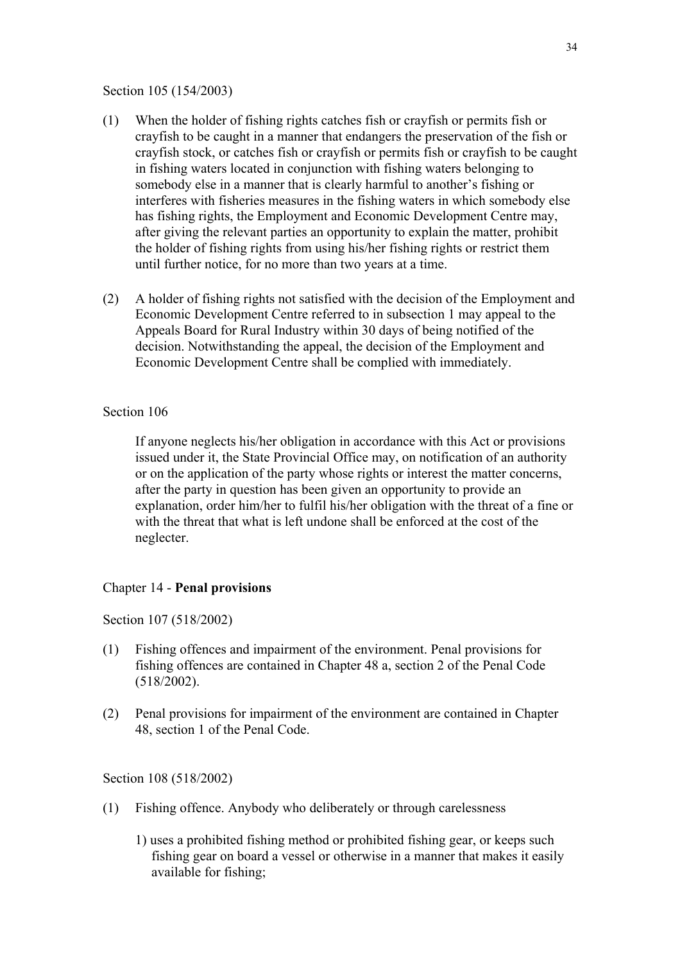#### Section 105 (154/2003)

- (1) When the holder of fishing rights catches fish or crayfish or permits fish or crayfish to be caught in a manner that endangers the preservation of the fish or crayfish stock, or catches fish or crayfish or permits fish or crayfish to be caught in fishing waters located in conjunction with fishing waters belonging to somebody else in a manner that is clearly harmful to another's fishing or interferes with fisheries measures in the fishing waters in which somebody else has fishing rights, the Employment and Economic Development Centre may, after giving the relevant parties an opportunity to explain the matter, prohibit the holder of fishing rights from using his/her fishing rights or restrict them until further notice, for no more than two years at a time.
- (2) A holder of fishing rights not satisfied with the decision of the Employment and Economic Development Centre referred to in subsection 1 may appeal to the Appeals Board for Rural Industry within 30 days of being notified of the decision. Notwithstanding the appeal, the decision of the Employment and Economic Development Centre shall be complied with immediately.

### Section 106

If anyone neglects his/her obligation in accordance with this Act or provisions issued under it, the State Provincial Office may, on notification of an authority or on the application of the party whose rights or interest the matter concerns, after the party in question has been given an opportunity to provide an explanation, order him/her to fulfil his/her obligation with the threat of a fine or with the threat that what is left undone shall be enforced at the cost of the neglecter.

### Chapter 14 - **Penal provisions**

Section 107 (518/2002)

- (1) Fishing offences and impairment of the environment. Penal provisions for fishing offences are contained in Chapter 48 a, section 2 of the Penal Code (518/2002).
- (2) Penal provisions for impairment of the environment are contained in Chapter 48, section 1 of the Penal Code.

Section 108 (518/2002)

- (1) Fishing offence. Anybody who deliberately or through carelessness
	- 1) uses a prohibited fishing method or prohibited fishing gear, or keeps such fishing gear on board a vessel or otherwise in a manner that makes it easily available for fishing;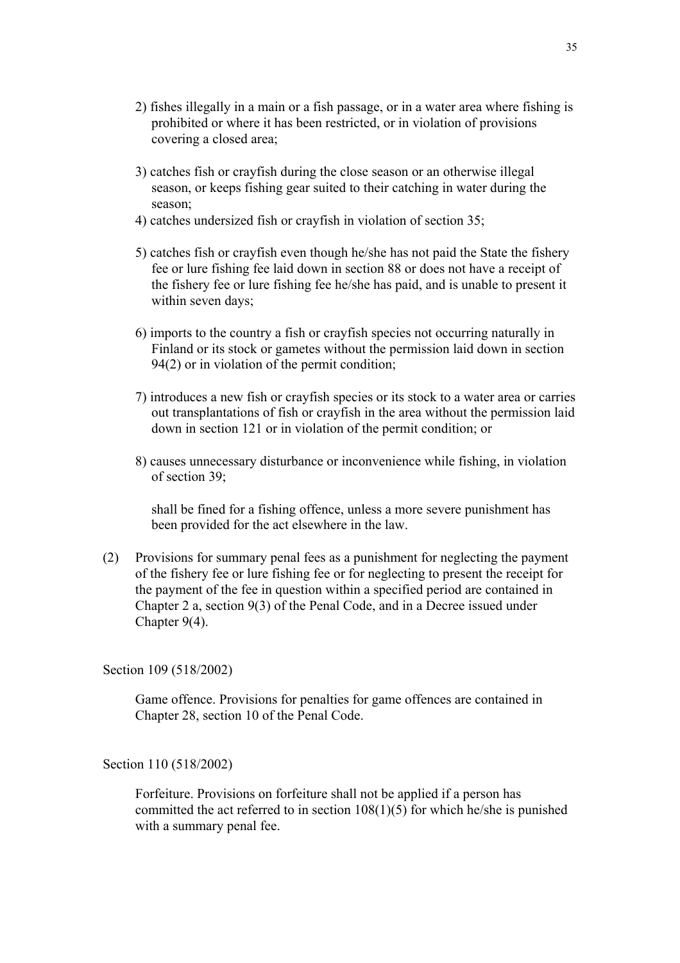- 2) fishes illegally in a main or a fish passage, or in a water area where fishing is prohibited or where it has been restricted, or in violation of provisions covering a closed area;
- 3) catches fish or crayfish during the close season or an otherwise illegal season, or keeps fishing gear suited to their catching in water during the season;
- 4) catches undersized fish or crayfish in violation of section 35;
- 5) catches fish or crayfish even though he/she has not paid the State the fishery fee or lure fishing fee laid down in section 88 or does not have a receipt of the fishery fee or lure fishing fee he/she has paid, and is unable to present it within seven days;
- 6) imports to the country a fish or crayfish species not occurring naturally in Finland or its stock or gametes without the permission laid down in section 94(2) or in violation of the permit condition;
- 7) introduces a new fish or crayfish species or its stock to a water area or carries out transplantations of fish or crayfish in the area without the permission laid down in section 121 or in violation of the permit condition; or
- 8) causes unnecessary disturbance or inconvenience while fishing, in violation of section 39;

shall be fined for a fishing offence, unless a more severe punishment has been provided for the act elsewhere in the law.

(2) Provisions for summary penal fees as a punishment for neglecting the payment of the fishery fee or lure fishing fee or for neglecting to present the receipt for the payment of the fee in question within a specified period are contained in Chapter 2 a, section 9(3) of the Penal Code, and in a Decree issued under Chapter 9(4).

Section 109 (518/2002)

Game offence. Provisions for penalties for game offences are contained in Chapter 28, section 10 of the Penal Code.

Section 110 (518/2002)

Forfeiture. Provisions on forfeiture shall not be applied if a person has committed the act referred to in section  $108(1)(5)$  for which he/she is punished with a summary penal fee.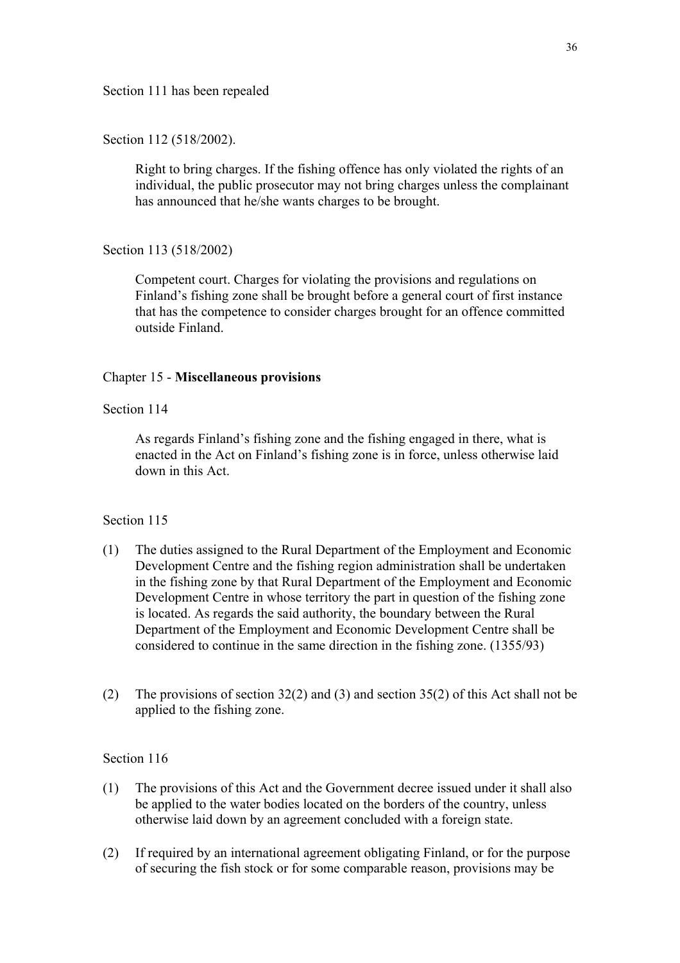Section 111 has been repealed

Section 112 (518/2002).

Right to bring charges. If the fishing offence has only violated the rights of an individual, the public prosecutor may not bring charges unless the complainant has announced that he/she wants charges to be brought.

Section 113 (518/2002)

Competent court. Charges for violating the provisions and regulations on Finland's fishing zone shall be brought before a general court of first instance that has the competence to consider charges brought for an offence committed outside Finland.

### Chapter 15 - **Miscellaneous provisions**

### Section 114

As regards Finland's fishing zone and the fishing engaged in there, what is enacted in the Act on Finland's fishing zone is in force, unless otherwise laid down in this Act.

### Section 115

- (1) The duties assigned to the Rural Department of the Employment and Economic Development Centre and the fishing region administration shall be undertaken in the fishing zone by that Rural Department of the Employment and Economic Development Centre in whose territory the part in question of the fishing zone is located. As regards the said authority, the boundary between the Rural Department of the Employment and Economic Development Centre shall be considered to continue in the same direction in the fishing zone. (1355/93)
- (2) The provisions of section 32(2) and (3) and section 35(2) of this Act shall not be applied to the fishing zone.

- (1) The provisions of this Act and the Government decree issued under it shall also be applied to the water bodies located on the borders of the country, unless otherwise laid down by an agreement concluded with a foreign state.
- (2) If required by an international agreement obligating Finland, or for the purpose of securing the fish stock or for some comparable reason, provisions may be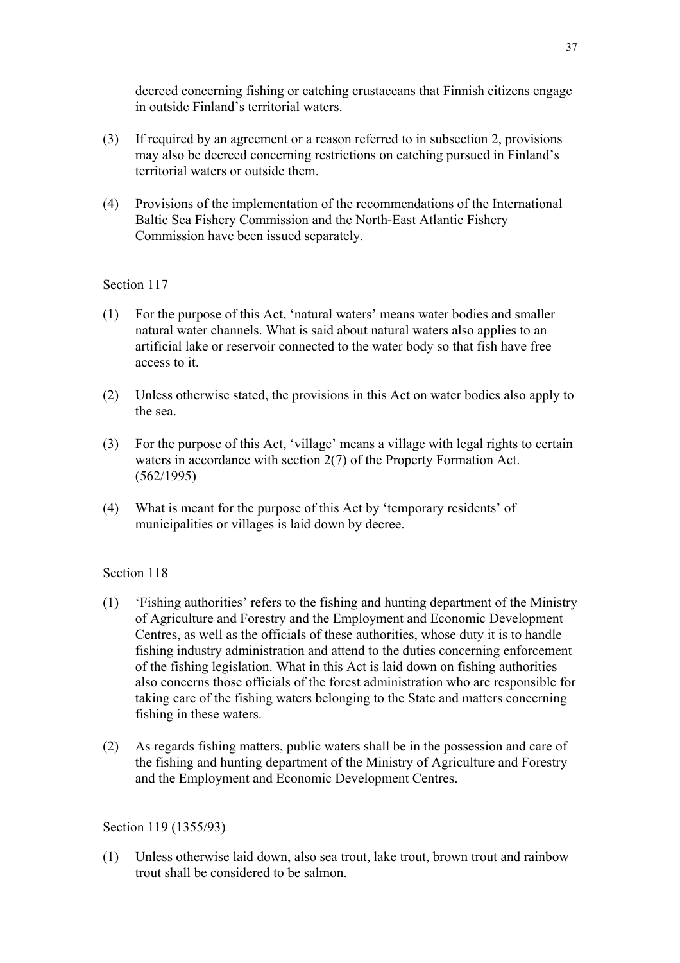decreed concerning fishing or catching crustaceans that Finnish citizens engage in outside Finland's territorial waters.

- (3) If required by an agreement or a reason referred to in subsection 2, provisions may also be decreed concerning restrictions on catching pursued in Finland's territorial waters or outside them.
- (4) Provisions of the implementation of the recommendations of the International Baltic Sea Fishery Commission and the North-East Atlantic Fishery Commission have been issued separately.

## Section 117

- (1) For the purpose of this Act, 'natural waters' means water bodies and smaller natural water channels. What is said about natural waters also applies to an artificial lake or reservoir connected to the water body so that fish have free access to it.
- (2) Unless otherwise stated, the provisions in this Act on water bodies also apply to the sea.
- (3) For the purpose of this Act, 'village' means a village with legal rights to certain waters in accordance with section 2(7) of the Property Formation Act. (562/1995)
- (4) What is meant for the purpose of this Act by 'temporary residents' of municipalities or villages is laid down by decree.

### Section 118

- (1) 'Fishing authorities' refers to the fishing and hunting department of the Ministry of Agriculture and Forestry and the Employment and Economic Development Centres, as well as the officials of these authorities, whose duty it is to handle fishing industry administration and attend to the duties concerning enforcement of the fishing legislation. What in this Act is laid down on fishing authorities also concerns those officials of the forest administration who are responsible for taking care of the fishing waters belonging to the State and matters concerning fishing in these waters.
- (2) As regards fishing matters, public waters shall be in the possession and care of the fishing and hunting department of the Ministry of Agriculture and Forestry and the Employment and Economic Development Centres.

### Section 119 (1355/93)

(1) Unless otherwise laid down, also sea trout, lake trout, brown trout and rainbow trout shall be considered to be salmon.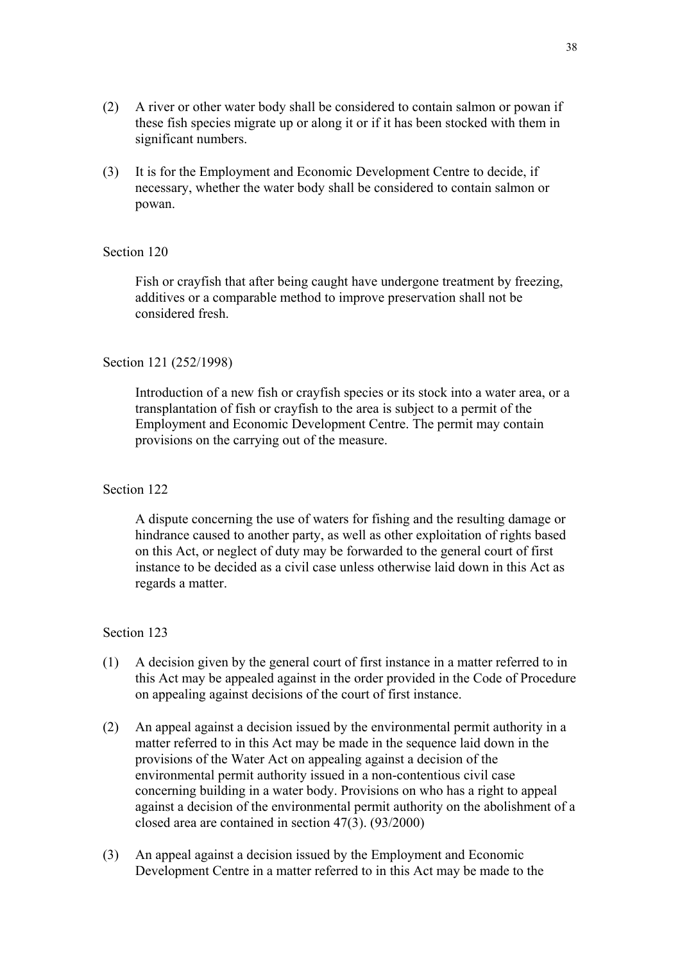- (2) A river or other water body shall be considered to contain salmon or powan if these fish species migrate up or along it or if it has been stocked with them in significant numbers.
- (3) It is for the Employment and Economic Development Centre to decide, if necessary, whether the water body shall be considered to contain salmon or powan.

Fish or crayfish that after being caught have undergone treatment by freezing, additives or a comparable method to improve preservation shall not be considered fresh.

#### Section 121 (252/1998)

Introduction of a new fish or crayfish species or its stock into a water area, or a transplantation of fish or crayfish to the area is subject to a permit of the Employment and Economic Development Centre. The permit may contain provisions on the carrying out of the measure.

### Section 122

A dispute concerning the use of waters for fishing and the resulting damage or hindrance caused to another party, as well as other exploitation of rights based on this Act, or neglect of duty may be forwarded to the general court of first instance to be decided as a civil case unless otherwise laid down in this Act as regards a matter.

- (1) A decision given by the general court of first instance in a matter referred to in this Act may be appealed against in the order provided in the Code of Procedure on appealing against decisions of the court of first instance.
- (2) An appeal against a decision issued by the environmental permit authority in a matter referred to in this Act may be made in the sequence laid down in the provisions of the Water Act on appealing against a decision of the environmental permit authority issued in a non-contentious civil case concerning building in a water body. Provisions on who has a right to appeal against a decision of the environmental permit authority on the abolishment of a closed area are contained in section 47(3). (93/2000)
- (3) An appeal against a decision issued by the Employment and Economic Development Centre in a matter referred to in this Act may be made to the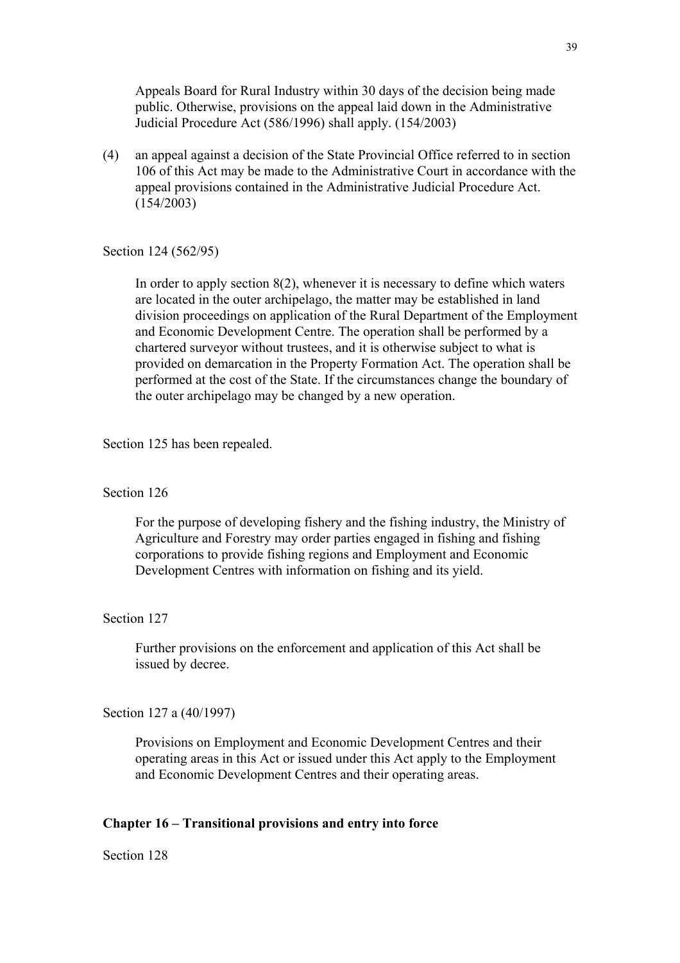Appeals Board for Rural Industry within 30 days of the decision being made public. Otherwise, provisions on the appeal laid down in the Administrative Judicial Procedure Act (586/1996) shall apply. (154/2003)

(4) an appeal against a decision of the State Provincial Office referred to in section 106 of this Act may be made to the Administrative Court in accordance with the appeal provisions contained in the Administrative Judicial Procedure Act. (154/2003)

Section 124 (562/95)

In order to apply section 8(2), whenever it is necessary to define which waters are located in the outer archipelago, the matter may be established in land division proceedings on application of the Rural Department of the Employment and Economic Development Centre. The operation shall be performed by a chartered surveyor without trustees, and it is otherwise subject to what is provided on demarcation in the Property Formation Act. The operation shall be performed at the cost of the State. If the circumstances change the boundary of the outer archipelago may be changed by a new operation.

Section 125 has been repealed.

#### Section 126

For the purpose of developing fishery and the fishing industry, the Ministry of Agriculture and Forestry may order parties engaged in fishing and fishing corporations to provide fishing regions and Employment and Economic Development Centres with information on fishing and its yield.

#### Section 127

Further provisions on the enforcement and application of this Act shall be issued by decree.

#### Section 127 a (40/1997)

Provisions on Employment and Economic Development Centres and their operating areas in this Act or issued under this Act apply to the Employment and Economic Development Centres and their operating areas.

#### **Chapter 16 – Transitional provisions and entry into force**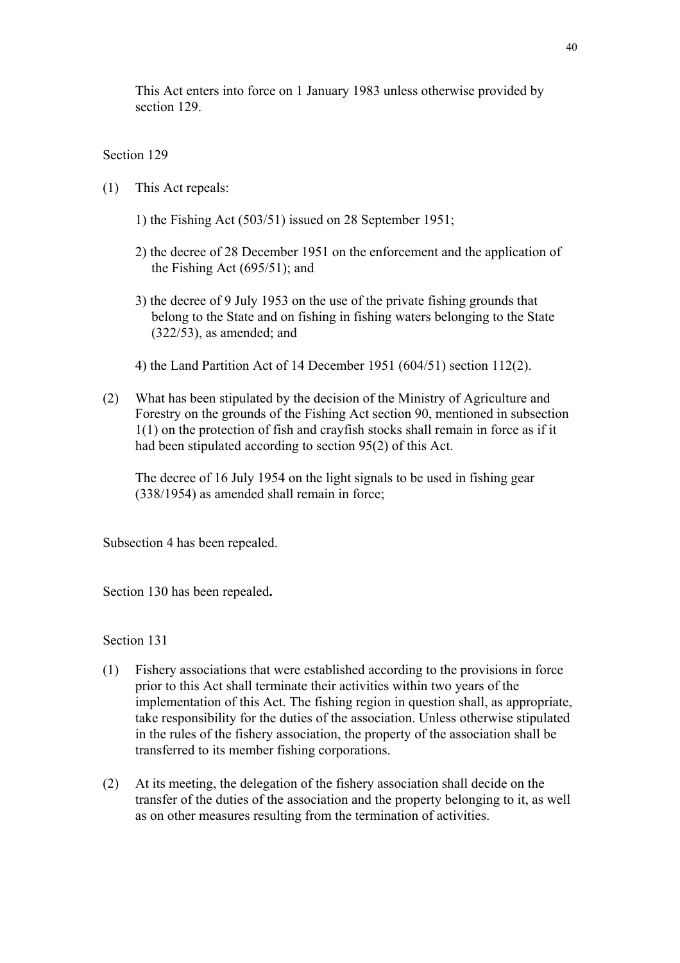This Act enters into force on 1 January 1983 unless otherwise provided by section 129.

## Section 129

- (1) This Act repeals:
	- 1) the Fishing Act (503/51) issued on 28 September 1951;
	- 2) the decree of 28 December 1951 on the enforcement and the application of the Fishing Act (695/51); and
	- 3) the decree of 9 July 1953 on the use of the private fishing grounds that belong to the State and on fishing in fishing waters belonging to the State (322/53), as amended; and
	- 4) the Land Partition Act of 14 December 1951 (604/51) section 112(2).
- (2) What has been stipulated by the decision of the Ministry of Agriculture and Forestry on the grounds of the Fishing Act section 90, mentioned in subsection 1(1) on the protection of fish and crayfish stocks shall remain in force as if it had been stipulated according to section 95(2) of this Act.

The decree of 16 July 1954 on the light signals to be used in fishing gear (338/1954) as amended shall remain in force;

Subsection 4 has been repealed.

Section 130 has been repealed**.** 

- (1) Fishery associations that were established according to the provisions in force prior to this Act shall terminate their activities within two years of the implementation of this Act. The fishing region in question shall, as appropriate, take responsibility for the duties of the association. Unless otherwise stipulated in the rules of the fishery association, the property of the association shall be transferred to its member fishing corporations.
- (2) At its meeting, the delegation of the fishery association shall decide on the transfer of the duties of the association and the property belonging to it, as well as on other measures resulting from the termination of activities.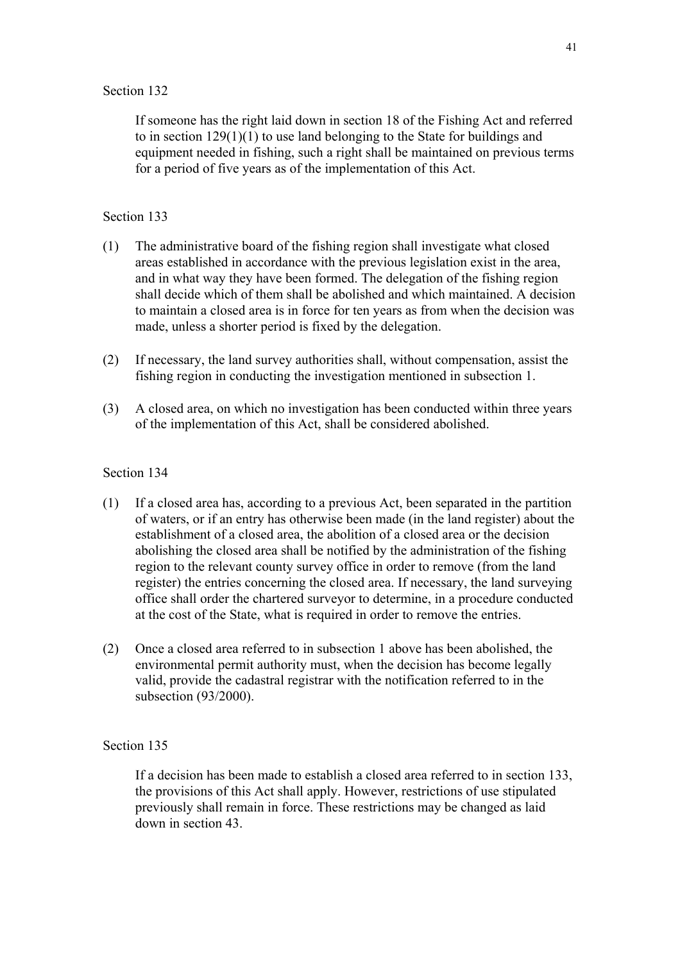If someone has the right laid down in section 18 of the Fishing Act and referred to in section 129(1)(1) to use land belonging to the State for buildings and equipment needed in fishing, such a right shall be maintained on previous terms for a period of five years as of the implementation of this Act.

#### Section 133

- (1) The administrative board of the fishing region shall investigate what closed areas established in accordance with the previous legislation exist in the area, and in what way they have been formed. The delegation of the fishing region shall decide which of them shall be abolished and which maintained. A decision to maintain a closed area is in force for ten years as from when the decision was made, unless a shorter period is fixed by the delegation.
- (2) If necessary, the land survey authorities shall, without compensation, assist the fishing region in conducting the investigation mentioned in subsection 1.
- (3) A closed area, on which no investigation has been conducted within three years of the implementation of this Act, shall be considered abolished.

#### Section 134

- (1) If a closed area has, according to a previous Act, been separated in the partition of waters, or if an entry has otherwise been made (in the land register) about the establishment of a closed area, the abolition of a closed area or the decision abolishing the closed area shall be notified by the administration of the fishing region to the relevant county survey office in order to remove (from the land register) the entries concerning the closed area. If necessary, the land surveying office shall order the chartered surveyor to determine, in a procedure conducted at the cost of the State, what is required in order to remove the entries.
- (2) Once a closed area referred to in subsection 1 above has been abolished, the environmental permit authority must, when the decision has become legally valid, provide the cadastral registrar with the notification referred to in the subsection (93/2000).

### Section 135

If a decision has been made to establish a closed area referred to in section 133, the provisions of this Act shall apply. However, restrictions of use stipulated previously shall remain in force. These restrictions may be changed as laid down in section 43.